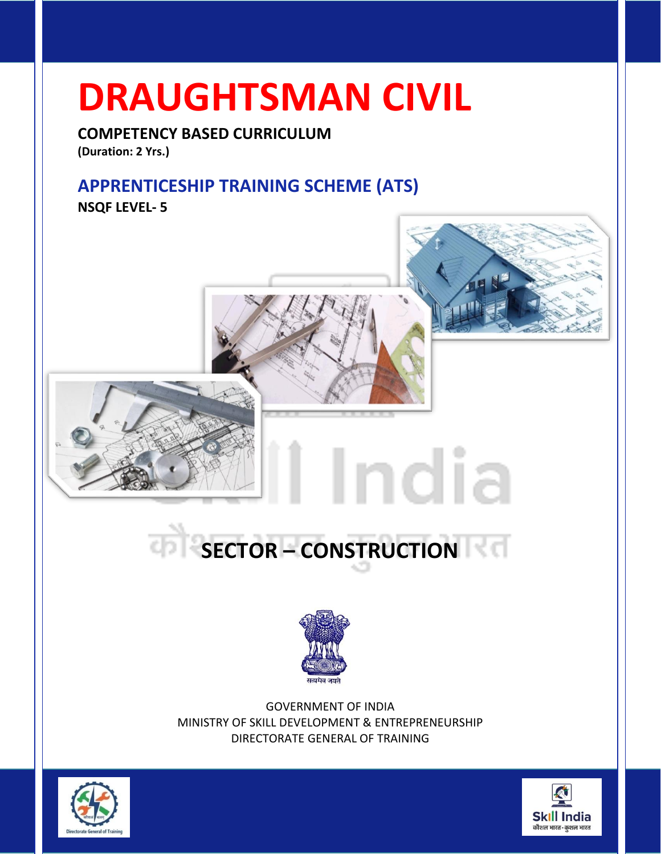# **DRAUGHTSMAN CIVIL**

**COMPETENCY BASED CURRICULUM (Duration: 2 Yrs.)**

# **APPRENTICESHIP TRAINING SCHEME (ATS)**

**NSQF LEVEL- 5**





GOVERNMENT OF INDIA MINISTRY OF SKILL DEVELOPMENT & ENTREPRENEURSHIP DIRECTORATE GENERAL OF TRAINING



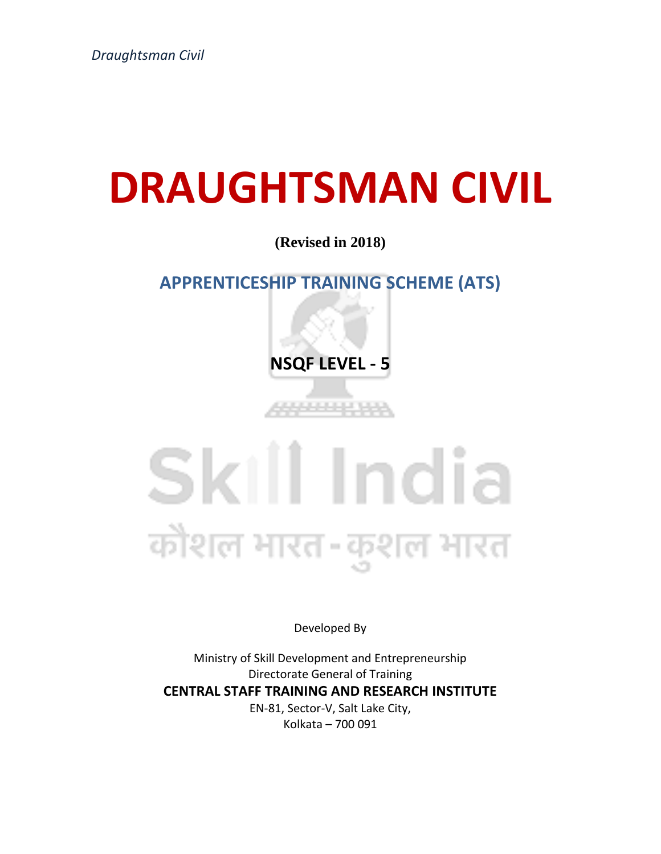# **DRAUGHTSMAN CIVIL**

# **(Revised in 2018)**

# **APPRENTICESHIP TRAINING SCHEME (ATS)**

**NSQF LEVEL - 5**

44444444

# Skill India कोशल भारत-कुशल भारत

Developed By

Ministry of Skill Development and Entrepreneurship Directorate General of Training **CENTRAL STAFF TRAINING AND RESEARCH INSTITUTE** EN-81, Sector-V, Salt Lake City, Kolkata – 700 091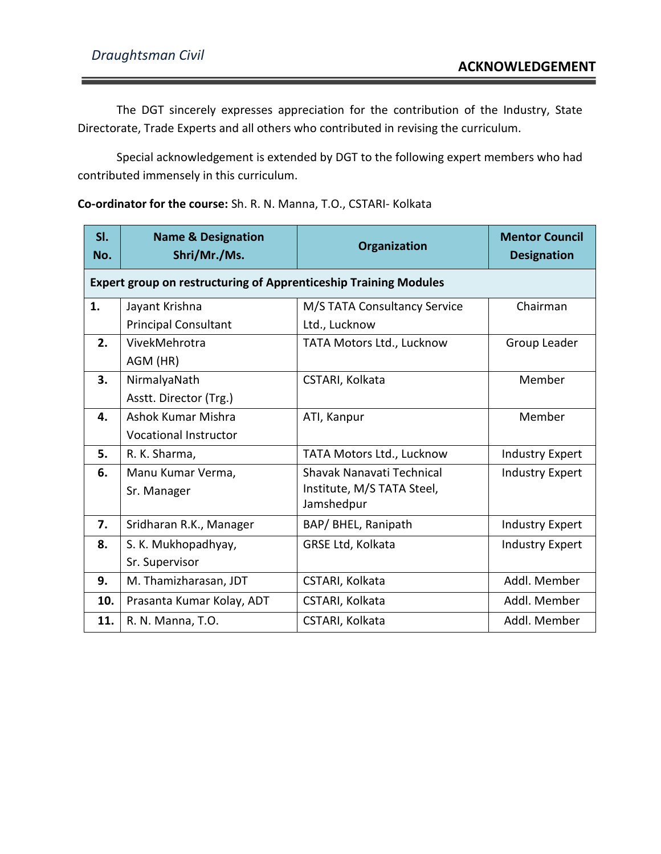The DGT sincerely expresses appreciation for the contribution of the Industry, State Directorate, Trade Experts and all others who contributed in revising the curriculum.

Special acknowledgement is extended by DGT to the following expert members who had contributed immensely in this curriculum.

**Co-ordinator for the course:** Sh. R. N. Manna, T.O., CSTARI- Kolkata

| SI.<br>No. | <b>Name &amp; Designation</b><br>Shri/Mr./Ms.                           | Organization                 | <b>Mentor Council</b><br><b>Designation</b> |  |  |
|------------|-------------------------------------------------------------------------|------------------------------|---------------------------------------------|--|--|
|            | <b>Expert group on restructuring of Apprenticeship Training Modules</b> |                              |                                             |  |  |
| 1.         | Jayant Krishna                                                          | M/S TATA Consultancy Service | Chairman                                    |  |  |
|            | <b>Principal Consultant</b>                                             | Ltd., Lucknow                |                                             |  |  |
| 2.         | VivekMehrotra                                                           | TATA Motors Ltd., Lucknow    | Group Leader                                |  |  |
|            | AGM (HR)                                                                |                              |                                             |  |  |
| 3.         | NirmalyaNath                                                            | CSTARI, Kolkata              | Member                                      |  |  |
|            | Asstt. Director (Trg.)                                                  |                              |                                             |  |  |
| 4.         | Ashok Kumar Mishra                                                      | ATI, Kanpur                  | Member                                      |  |  |
|            | <b>Vocational Instructor</b>                                            |                              |                                             |  |  |
| 5.         | R. K. Sharma,                                                           | TATA Motors Ltd., Lucknow    | <b>Industry Expert</b>                      |  |  |
| 6.         | Manu Kumar Verma,                                                       | Shavak Nanavati Technical    | <b>Industry Expert</b>                      |  |  |
|            | Sr. Manager                                                             | Institute, M/S TATA Steel,   |                                             |  |  |
|            |                                                                         | Jamshedpur                   |                                             |  |  |
| 7.         | Sridharan R.K., Manager                                                 | BAP/ BHEL, Ranipath          | <b>Industry Expert</b>                      |  |  |
| 8.         | S. K. Mukhopadhyay,                                                     | GRSE Ltd, Kolkata            | <b>Industry Expert</b>                      |  |  |
|            | Sr. Supervisor                                                          |                              |                                             |  |  |
| 9.         | M. Thamizharasan, JDT                                                   | CSTARI, Kolkata              | Addl. Member                                |  |  |
| 10.        | Prasanta Kumar Kolay, ADT                                               | CSTARI, Kolkata              | Addl. Member                                |  |  |
| 11.        | R. N. Manna, T.O.                                                       | CSTARI, Kolkata              | Addl. Member                                |  |  |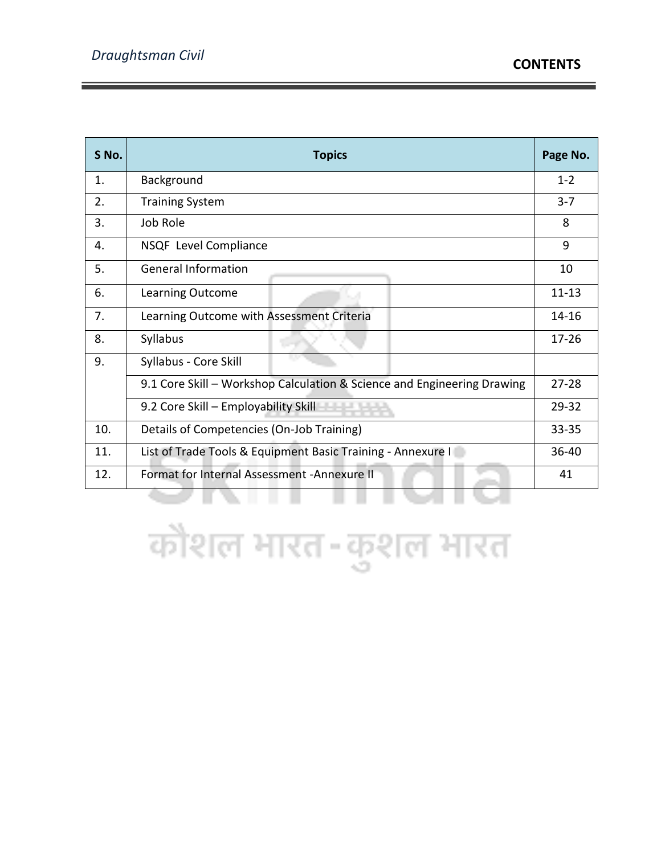| S No. | <b>Topics</b>                                                           | Page No.  |
|-------|-------------------------------------------------------------------------|-----------|
| 1.    | Background                                                              | $1 - 2$   |
| 2.    | <b>Training System</b>                                                  | $3 - 7$   |
| 3.    | Job Role                                                                | 8         |
| 4.    | NSQF Level Compliance                                                   | 9         |
| 5.    | <b>General Information</b>                                              | 10        |
| 6.    | Learning Outcome                                                        | $11 - 13$ |
| 7.    | Learning Outcome with Assessment Criteria                               | 14-16     |
| 8.    | Syllabus                                                                | $17 - 26$ |
| 9.    | Syllabus - Core Skill                                                   |           |
|       | 9.1 Core Skill - Workshop Calculation & Science and Engineering Drawing | $27 - 28$ |
|       | 9.2 Core Skill - Employability Skill - -                                | $29 - 32$ |
| 10.   | Details of Competencies (On-Job Training)                               | $33 - 35$ |
| 11.   | List of Trade Tools & Equipment Basic Training - Annexure I             | $36 - 40$ |
| 12.   | Format for Internal Assessment - Annexure II                            | 41        |
|       |                                                                         |           |

कौशल भारत-कुशल भारत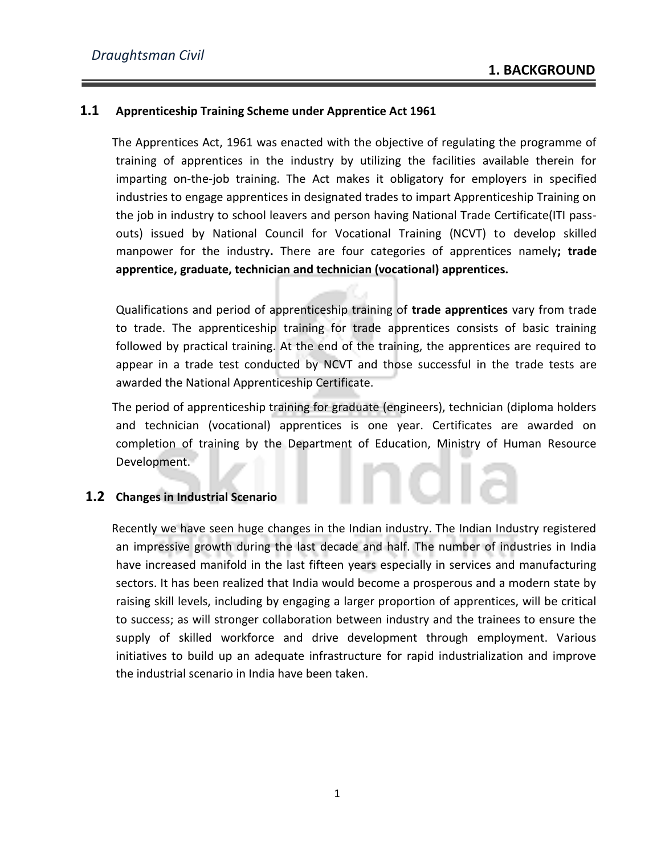#### **1.1 Apprenticeship Training Scheme under Apprentice Act 1961**

 The Apprentices Act, 1961 was enacted with the objective of regulating the programme of training of apprentices in the industry by utilizing the facilities available therein for imparting on-the-job training. The Act makes it obligatory for employers in specified industries to engage apprentices in designated trades to impart Apprenticeship Training on the job in industry to school leavers and person having National Trade Certificate(ITI passouts) issued by National Council for Vocational Training (NCVT) to develop skilled manpower for the industry**.** There are four categories of apprentices namely**; trade apprentice, graduate, technician and technician (vocational) apprentices.**

Qualifications and period of apprenticeship training of **trade apprentices** vary from trade to trade. The apprenticeship training for trade apprentices consists of basic training followed by practical training. At the end of the training, the apprentices are required to appear in a trade test conducted by NCVT and those successful in the trade tests are awarded the National Apprenticeship Certificate.

 The period of apprenticeship training for graduate (engineers), technician (diploma holders and technician (vocational) apprentices is one year. Certificates are awarded on completion of training by the Department of Education, Ministry of Human Resource Development.

### **1.2 Changes in Industrial Scenario**

 Recently we have seen huge changes in the Indian industry. The Indian Industry registered an impressive growth during the last decade and half. The number of industries in India have increased manifold in the last fifteen years especially in services and manufacturing sectors. It has been realized that India would become a prosperous and a modern state by raising skill levels, including by engaging a larger proportion of apprentices, will be critical to success; as will stronger collaboration between industry and the trainees to ensure the supply of skilled workforce and drive development through employment. Various initiatives to build up an adequate infrastructure for rapid industrialization and improve the industrial scenario in India have been taken.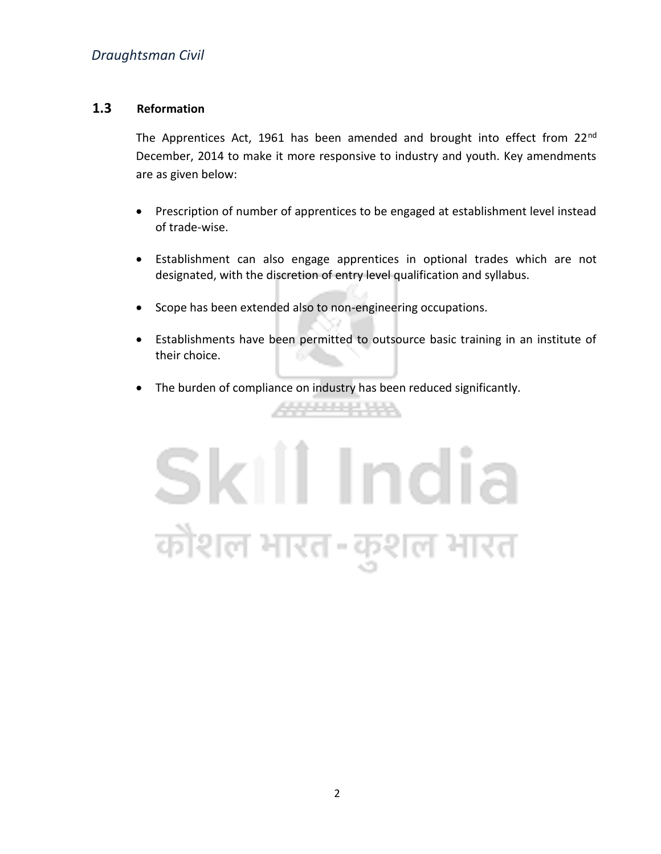### **1.3 Reformation**

The Apprentices Act, 1961 has been amended and brought into effect from 22nd December, 2014 to make it more responsive to industry and youth. Key amendments are as given below:

- Prescription of number of apprentices to be engaged at establishment level instead of trade-wise.
- Establishment can also engage apprentices in optional trades which are not designated, with the discretion of entry level qualification and syllabus.
- Scope has been extended also to non-engineering occupations.
- Establishments have been permitted to outsource basic training in an institute of their choice.
- The burden of compliance on industry has been reduced significantly.

444444444

# Skill India कोशल भारत-कुशल भारत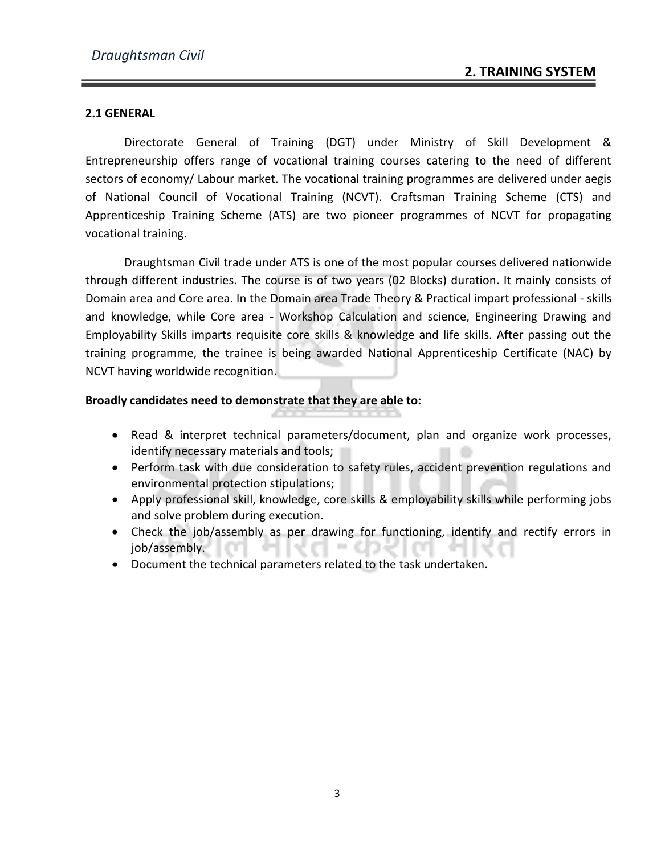#### **2.1 GENERAL**

Directorate General of Training (DGT) under Ministry of Skill Development & Entrepreneurship offers range of vocational training courses catering to the need of different sectors of economy/ Labour market. The vocational training programmes are delivered under aegis of National Council of Vocational Training (NCVT). Craftsman Training Scheme (CTS) and Apprenticeship Training Scheme (ATS) are two pioneer programmes of NCVT for propagating vocational training.

Draughtsman Civil trade under ATS is one of the most popular courses delivered nationwide through different industries. The course is of two years (02 Blocks) duration. It mainly consists of Domain area and Core area. In the Domain area Trade Theory & Practical impart professional - skills and knowledge, while Core area - Workshop Calculation and science, Engineering Drawing and Employability Skills imparts requisite core skills & knowledge and life skills. After passing out the training programme, the trainee is being awarded National Apprenticeship Certificate (NAC) by NCVT having worldwide recognition.

#### **Broadly candidates need to demonstrate that they are able to:**

- Read & interpret technical parameters/document, plan and organize work processes, identify necessary materials and tools;
- Perform task with due consideration to safety rules, accident prevention regulations and environmental protection stipulations;
- Apply professional skill, knowledge, core skills & employability skills while performing jobs and solve problem during execution.
- Check the job/assembly as per drawing for functioning, identify and rectify errors in job/assembly.
- Document the technical parameters related to the task undertaken.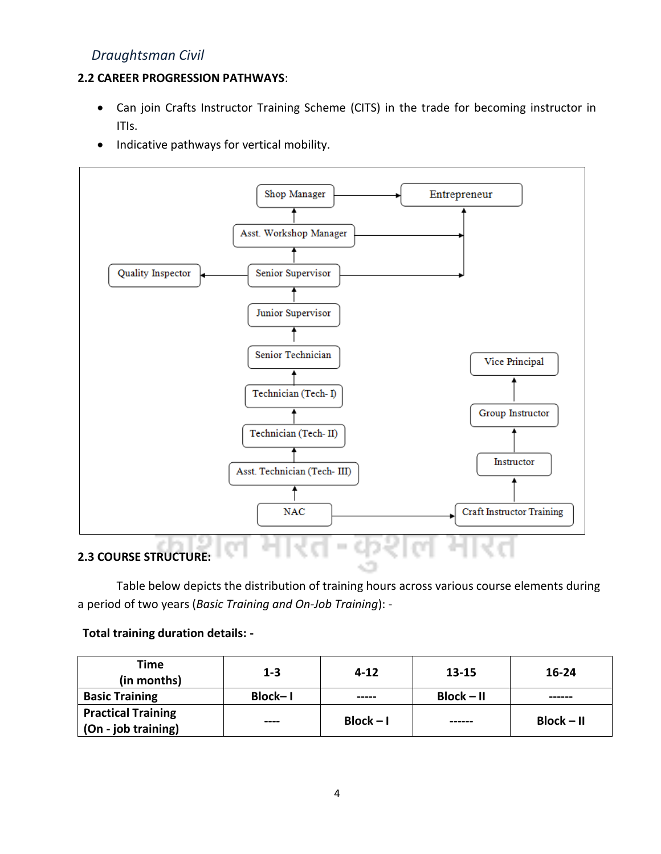### **2.2 CAREER PROGRESSION PATHWAYS**:

- Can join Crafts Instructor Training Scheme (CITS) in the trade for becoming instructor in ITIs.
- Indicative pathways for vertical mobility.



Table below depicts the distribution of training hours across various course elements during a period of two years (*Basic Training and On-Job Training*): -

### **Total training duration details: -**

| Time<br>(in months)       | $1 - 3$ | $4 - 12$    | 13-15        | 16-24        |
|---------------------------|---------|-------------|--------------|--------------|
| <b>Basic Training</b>     | Block-1 | -----       | $Block - II$ | ------       |
| <b>Practical Training</b> | ----    | $Block - I$ | ------       | $Block - II$ |
| (On - job training)       |         |             |              |              |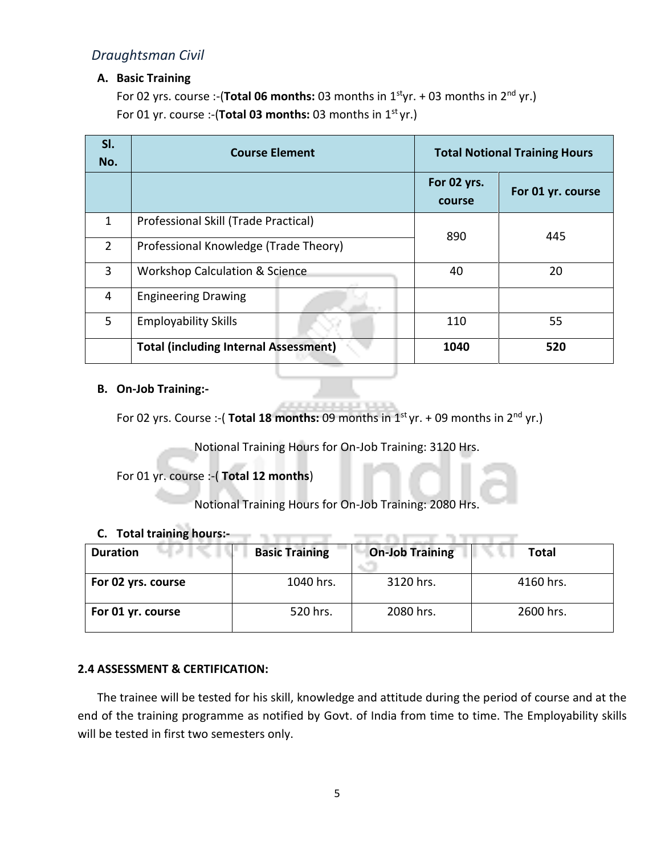#### **A. Basic Training**

For 02 yrs. course :-(**Total 06 months:** 03 months in 1<sup>st</sup>yr. + 03 months in 2<sup>nd</sup> yr.) For 01 yr. course :-(Total 03 months: 03 months in 1<sup>st</sup> yr.)

| SI.<br>No.     | <b>Course Element</b>                        | <b>Total Notional Training Hours</b> |                   |
|----------------|----------------------------------------------|--------------------------------------|-------------------|
|                |                                              | For 02 yrs.<br>course                | For 01 yr. course |
| $\mathbf{1}$   | Professional Skill (Trade Practical)         | 890                                  | 445               |
| $\overline{2}$ | Professional Knowledge (Trade Theory)        |                                      |                   |
| 3              | <b>Workshop Calculation &amp; Science</b>    | 40                                   | 20                |
| 4              | <b>Engineering Drawing</b>                   |                                      |                   |
| 5              | <b>Employability Skills</b>                  | 110                                  | 55                |
|                | <b>Total (including Internal Assessment)</b> | 1040                                 | 520               |

#### **B. On-Job Training:-**

For 02 yrs. Course :-( **Total 18 months:** 09 months in 1<sup>st</sup> yr. + 09 months in 2<sup>nd</sup> yr.)

Notional Training Hours for On-Job Training: 3120 Hrs.

For 01 yr. course :-( **Total 12 months**)

Notional Training Hours for On-Job Training: 2080 Hrs.

#### **C. Total training hours:-**

| <b>Duration</b>    | <b>Basic Training</b> | <b>On-Job Training</b> | Total     |
|--------------------|-----------------------|------------------------|-----------|
| For 02 yrs. course | 1040 hrs.             | 3120 hrs.              | 4160 hrs. |
| For 01 yr. course  | 520 hrs.              | 2080 hrs.              | 2600 hrs. |

1. J. T. L. T.

**Controller State State** 

#### **2.4 ASSESSMENT & CERTIFICATION:**

The trainee will be tested for his skill, knowledge and attitude during the period of course and at the end of the training programme as notified by Govt. of India from time to time. The Employability skills will be tested in first two semesters only.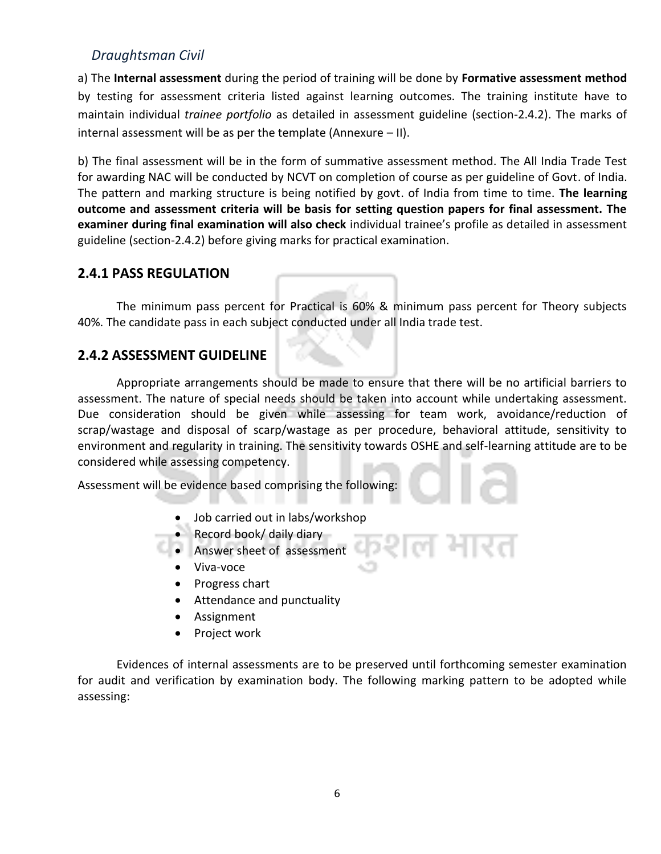a) The **Internal assessment** during the period of training will be done by **Formative assessment method** by testing for assessment criteria listed against learning outcomes. The training institute have to maintain individual *trainee portfolio* as detailed in assessment guideline (section-2.4.2). The marks of internal assessment will be as per the template (Annexure  $-$  II).

b) The final assessment will be in the form of summative assessment method. The All India Trade Test for awarding NAC will be conducted by NCVT on completion of course as per guideline of Govt. of India. The pattern and marking structure is being notified by govt. of India from time to time. **The learning outcome and assessment criteria will be basis for setting question papers for final assessment. The examiner during final examination will also check** individual trainee's profile as detailed in assessment guideline (section-2.4.2) before giving marks for practical examination.

## **2.4.1 PASS REGULATION**

The minimum pass percent for Practical is 60% & minimum pass percent for Theory subjects 40%. The candidate pass in each subject conducted under all India trade test.

# **2.4.2 ASSESSMENT GUIDELINE**

Appropriate arrangements should be made to ensure that there will be no artificial barriers to assessment. The nature of special needs should be taken into account while undertaking assessment. Due consideration should be given while assessing for team work, avoidance/reduction of scrap/wastage and disposal of scarp/wastage as per procedure, behavioral attitude, sensitivity to environment and regularity in training. The sensitivity towards OSHE and self-learning attitude are to be considered while assessing competency.

Assessment will be evidence based comprising the following:

- Job carried out in labs/workshop
- Record book/ daily diary
- Answer sheet of assessment
- Viva-voce
- Progress chart
- Attendance and punctuality
- Assignment
- Project work

Evidences of internal assessments are to be preserved until forthcoming semester examination for audit and verification by examination body. The following marking pattern to be adopted while assessing: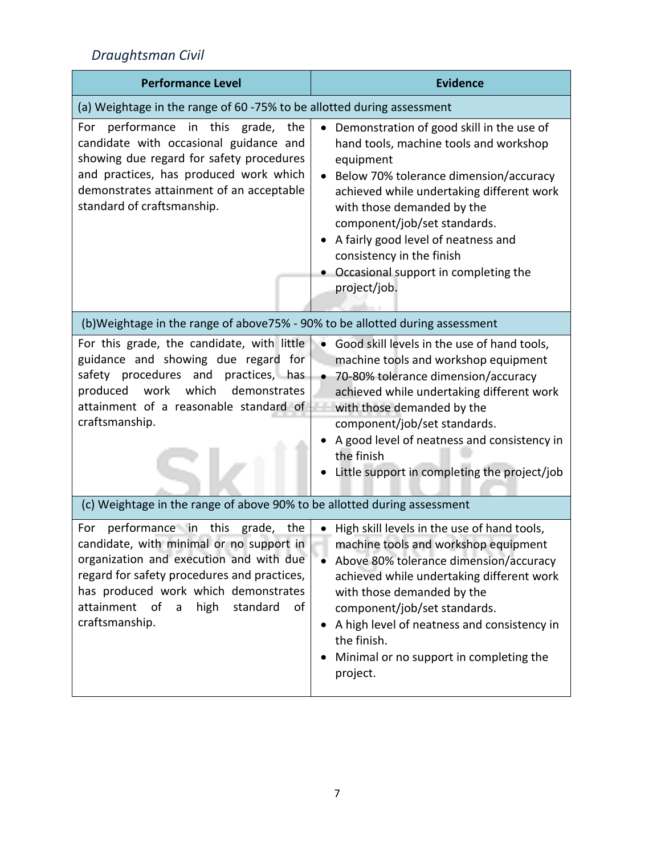| <b>Performance Level</b>                                                                                                                                                                                                                                                                                  | <b>Evidence</b>                                                                                                                                                                                                                                                                                                                                                                                |
|-----------------------------------------------------------------------------------------------------------------------------------------------------------------------------------------------------------------------------------------------------------------------------------------------------------|------------------------------------------------------------------------------------------------------------------------------------------------------------------------------------------------------------------------------------------------------------------------------------------------------------------------------------------------------------------------------------------------|
| (a) Weightage in the range of 60 -75% to be allotted during assessment                                                                                                                                                                                                                                    |                                                                                                                                                                                                                                                                                                                                                                                                |
| performance in this grade, the<br>For<br>candidate with occasional guidance and<br>showing due regard for safety procedures<br>and practices, has produced work which<br>demonstrates attainment of an acceptable<br>standard of craftsmanship.                                                           | Demonstration of good skill in the use of<br>$\bullet$<br>hand tools, machine tools and workshop<br>equipment<br>Below 70% tolerance dimension/accuracy<br>achieved while undertaking different work<br>with those demanded by the<br>component/job/set standards.<br>A fairly good level of neatness and<br>consistency in the finish<br>Occasional support in completing the<br>project/job. |
| (b) Weightage in the range of above 75% - 90% to be allotted during assessment                                                                                                                                                                                                                            |                                                                                                                                                                                                                                                                                                                                                                                                |
| For this grade, the candidate, with little<br>guidance and showing due regard for<br>safety procedures and<br>practices, has<br>which<br>produced<br>work<br>demonstrates<br>attainment of a reasonable standard of<br>craftsmanship.                                                                     | Good skill levels in the use of hand tools,<br>machine tools and workshop equipment<br>70-80% tolerance dimension/accuracy<br>achieved while undertaking different work<br>with those demanded by the<br>component/job/set standards.<br>A good level of neatness and consistency in<br>the finish<br>Little support in completing the project/job                                             |
| (c) Weightage in the range of above 90% to be allotted during assessment                                                                                                                                                                                                                                  |                                                                                                                                                                                                                                                                                                                                                                                                |
| performance in<br>this<br>grade, the<br>For<br>candidate, with minimal or no support in<br>organization and execution and with due<br>regard for safety procedures and practices,<br>has produced work which demonstrates<br>attainment<br>of<br>high<br>standard<br>of<br>$\mathsf{a}$<br>craftsmanship. | High skill levels in the use of hand tools,<br>machine tools and workshop equipment<br>Above 80% tolerance dimension/accuracy<br>achieved while undertaking different work<br>with those demanded by the<br>component/job/set standards.<br>A high level of neatness and consistency in<br>the finish.<br>Minimal or no support in completing the<br>project.                                  |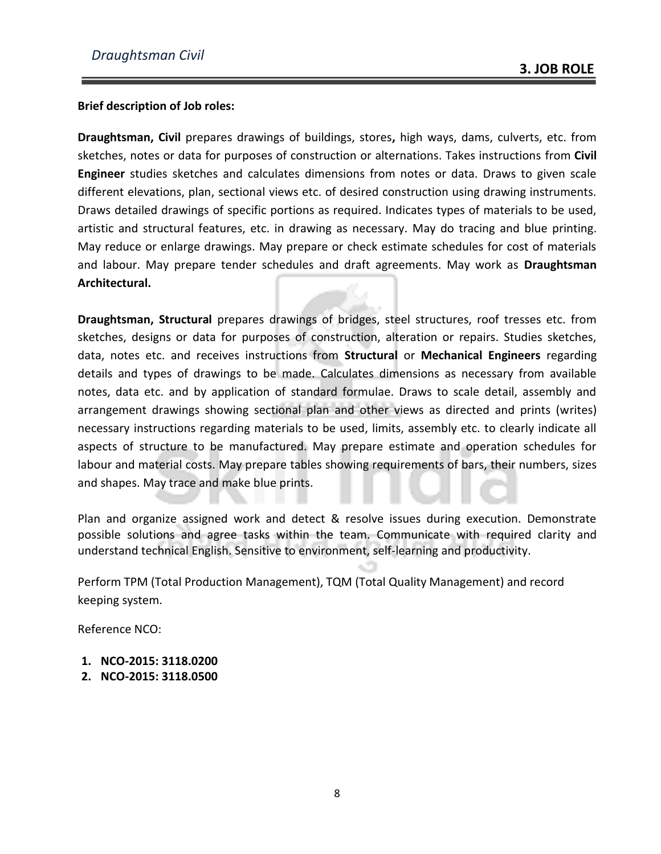#### **Brief description of Job roles:**

**Draughtsman, Civil** prepares drawings of buildings, stores**,** high ways, dams, culverts, etc. from sketches, notes or data for purposes of construction or alternations. Takes instructions from **Civil Engineer** studies sketches and calculates dimensions from notes or data. Draws to given scale different elevations, plan, sectional views etc. of desired construction using drawing instruments. Draws detailed drawings of specific portions as required. Indicates types of materials to be used, artistic and structural features, etc. in drawing as necessary. May do tracing and blue printing. May reduce or enlarge drawings. May prepare or check estimate schedules for cost of materials and labour. May prepare tender schedules and draft agreements. May work as **Draughtsman Architectural.**

**Draughtsman, Structural** prepares drawings of bridges, steel structures, roof tresses etc. from sketches, designs or data for purposes of construction, alteration or repairs. Studies sketches, data, notes etc. and receives instructions from **Structural** or **Mechanical Engineers** regarding details and types of drawings to be made. Calculates dimensions as necessary from available notes, data etc. and by application of standard formulae. Draws to scale detail, assembly and arrangement drawings showing sectional plan and other views as directed and prints (writes) necessary instructions regarding materials to be used, limits, assembly etc. to clearly indicate all aspects of structure to be manufactured. May prepare estimate and operation schedules for labour and material costs. May prepare tables showing requirements of bars, their numbers, sizes and shapes. May trace and make blue prints.

Plan and organize assigned work and detect & resolve issues during execution. Demonstrate possible solutions and agree tasks within the team. Communicate with required clarity and understand technical English. Sensitive to environment, self-learning and productivity.

Perform TPM (Total Production Management), TQM (Total Quality Management) and record keeping system.

Reference NCO:

- **1. NCO-2015: 3118.0200**
- **2. NCO-2015: 3118.0500**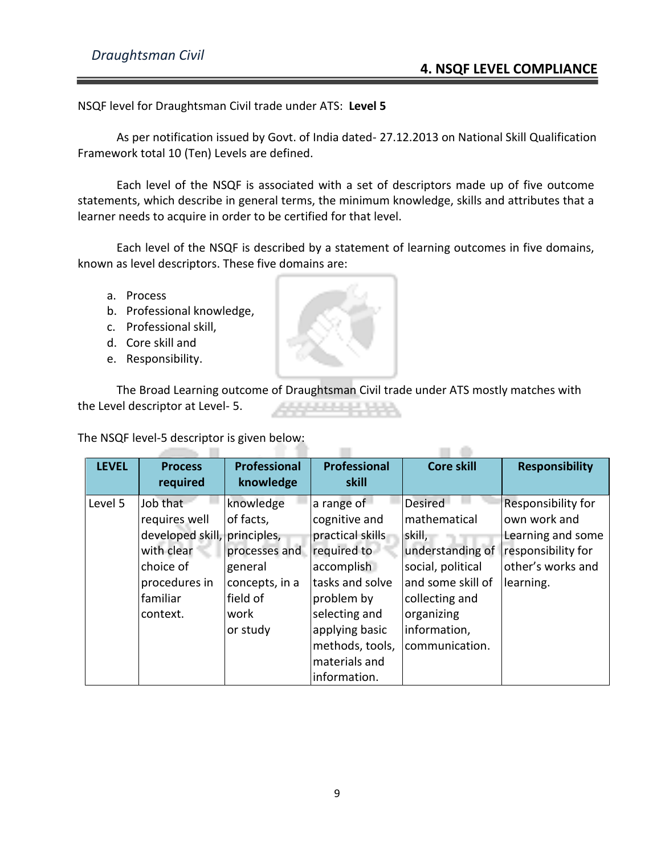NSQF level for Draughtsman Civil trade under ATS: **Level 5**

As per notification issued by Govt. of India dated- 27.12.2013 on National Skill Qualification Framework total 10 (Ten) Levels are defined.

Each level of the NSQF is associated with a set of descriptors made up of five outcome statements, which describe in general terms, the minimum knowledge, skills and attributes that a learner needs to acquire in order to be certified for that level.

Each level of the NSQF is described by a statement of learning outcomes in five domains, known as level descriptors. These five domains are:

- a. Process
- b. Professional knowledge,
- c. Professional skill,
- d. Core skill and
- e. Responsibility.

The Broad Learning outcome of Draughtsman Civil trade under ATS mostly matches with the Level descriptor at Level- 5. والتقييم والمراجل

The NSQF level-5 descriptor is given below: **All The Toronto** 

| <b>LEVEL</b> | <b>Process</b><br>required   | <b>Professional</b><br>knowledge | <b>Professional</b><br>skill | <b>Core skill</b> | <b>Responsibility</b>     |
|--------------|------------------------------|----------------------------------|------------------------------|-------------------|---------------------------|
| Level 5      | Job that                     | knowledge                        | a range of                   | <b>Desired</b>    | <b>Responsibility for</b> |
|              | requires well                | of facts,                        | cognitive and                | mathematical      | own work and              |
|              | developed skill, principles, |                                  | practical skills             | skill,            | <b>Learning and some</b>  |
|              | with clear                   | processes and                    | required to                  | understanding of  | responsibility for        |
|              | choice of                    | general                          | accomplish                   | social, political | other's works and         |
|              | procedures in                | concepts, in a                   | tasks and solve              | and some skill of | learning.                 |
|              | familiar                     | field of                         | problem by                   | collecting and    |                           |
|              | context.                     | work                             | selecting and                | organizing        |                           |
|              |                              | or study                         | applying basic               | information,      |                           |
|              |                              |                                  | methods, tools,              | communication.    |                           |
|              |                              |                                  | materials and                |                   |                           |
|              |                              |                                  | information.                 |                   |                           |

m.

 $\Box$   $\Box$ 

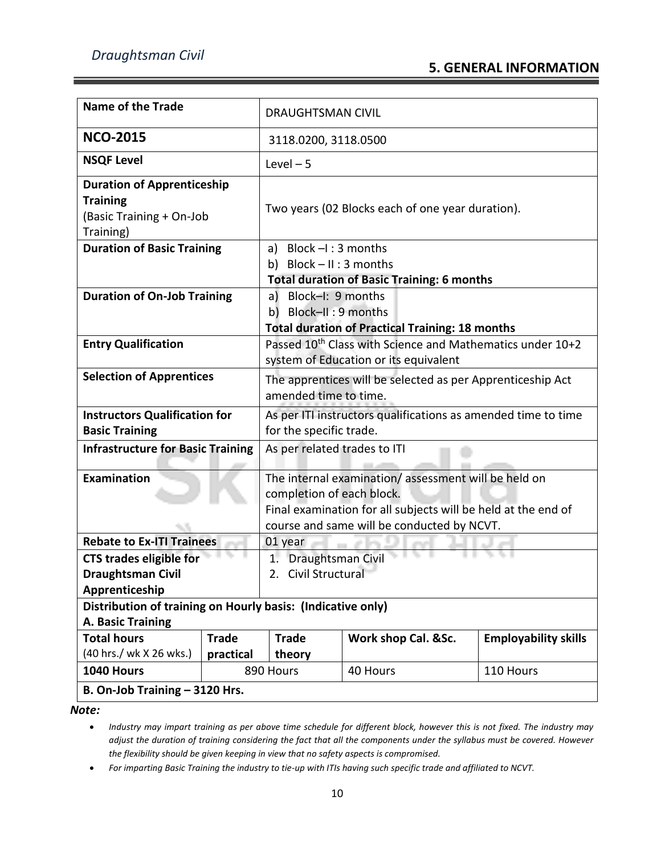| <b>Name of the Trade</b>                                                                      |                                | <b>DRAUGHTSMAN CIVIL</b>                                                                                                                                                                        |                                                        |                             |
|-----------------------------------------------------------------------------------------------|--------------------------------|-------------------------------------------------------------------------------------------------------------------------------------------------------------------------------------------------|--------------------------------------------------------|-----------------------------|
| <b>NCO-2015</b>                                                                               |                                | 3118.0200, 3118.0500                                                                                                                                                                            |                                                        |                             |
| <b>NSQF Level</b>                                                                             |                                | $Level - 5$                                                                                                                                                                                     |                                                        |                             |
| <b>Duration of Apprenticeship</b><br><b>Training</b><br>(Basic Training + On-Job<br>Training) |                                | Two years (02 Blocks each of one year duration).                                                                                                                                                |                                                        |                             |
| <b>Duration of Basic Training</b>                                                             |                                | a) Block $-I$ : 3 months<br>b) Block $- II : 3$ months                                                                                                                                          | <b>Total duration of Basic Training: 6 months</b>      |                             |
| <b>Duration of On-Job Training</b>                                                            |                                | a) Block-I: 9 months<br>b) Block-II: 9 months                                                                                                                                                   | <b>Total duration of Practical Training: 18 months</b> |                             |
| <b>Entry Qualification</b>                                                                    |                                | Passed 10 <sup>th</sup> Class with Science and Mathematics under 10+2<br>system of Education or its equivalent                                                                                  |                                                        |                             |
| <b>Selection of Apprentices</b>                                                               |                                | The apprentices will be selected as per Apprenticeship Act<br>amended time to time.                                                                                                             |                                                        |                             |
| <b>Instructors Qualification for</b><br><b>Basic Training</b>                                 |                                | As per ITI instructors qualifications as amended time to time<br>for the specific trade.                                                                                                        |                                                        |                             |
| <b>Infrastructure for Basic Training</b>                                                      |                                | As per related trades to ITI                                                                                                                                                                    |                                                        |                             |
| <b>Examination</b>                                                                            |                                | The internal examination/assessment will be held on<br>completion of each block.<br>Final examination for all subjects will be held at the end of<br>course and same will be conducted by NCVT. |                                                        |                             |
| <b>Rebate to Ex-ITI Trainees</b>                                                              |                                | 01 year                                                                                                                                                                                         |                                                        |                             |
| <b>CTS trades eligible for</b><br><b>Draughtsman Civil</b><br>Apprenticeship                  |                                | 1. Draughtsman Civil<br>2. Civil Structural                                                                                                                                                     |                                                        |                             |
| Distribution of training on Hourly basis: (Indicative only)<br>A. Basic Training              |                                |                                                                                                                                                                                                 |                                                        |                             |
| <b>Total hours</b><br><b>Trade</b>                                                            |                                | <b>Trade</b>                                                                                                                                                                                    | Work shop Cal. &Sc.                                    | <b>Employability skills</b> |
| (40 hrs./ wk X 26 wks.)                                                                       | practical                      | theory                                                                                                                                                                                          |                                                        |                             |
| 1040 Hours                                                                                    |                                | 890 Hours                                                                                                                                                                                       | 40 Hours                                               | 110 Hours                   |
|                                                                                               | B. On-Job Training - 3120 Hrs. |                                                                                                                                                                                                 |                                                        |                             |

*Note:*

• *For imparting Basic Training the industry to tie-up with ITIs having such specific trade and affiliated to NCVT.* 

<sup>•</sup> *Industry may impart training as per above time schedule for different block, however this is not fixed. The industry may adjust the duration of training considering the fact that all the components under the syllabus must be covered. However the flexibility should be given keeping in view that no safety aspects is compromised.*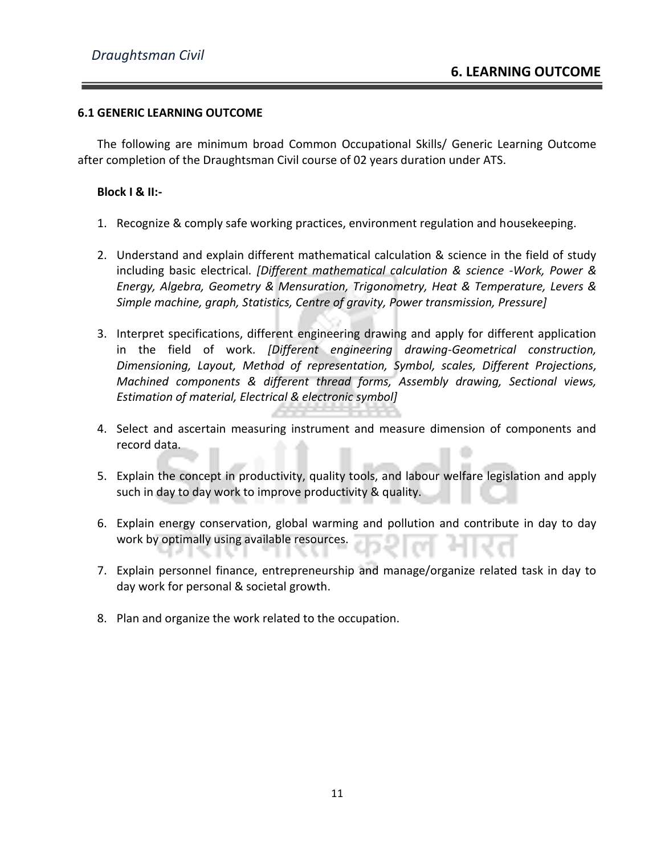#### **6.1 GENERIC LEARNING OUTCOME**

The following are minimum broad Common Occupational Skills/ Generic Learning Outcome after completion of the Draughtsman Civil course of 02 years duration under ATS.

#### **Block I & II:-**

- 1. Recognize & comply safe working practices, environment regulation and housekeeping.
- 2. Understand and explain different mathematical calculation & science in the field of study including basic electrical. *[Different mathematical calculation & science -Work, Power & Energy, Algebra, Geometry & Mensuration, Trigonometry, Heat & Temperature, Levers & Simple machine, graph, Statistics, Centre of gravity, Power transmission, Pressure]*
- 3. Interpret specifications, different engineering drawing and apply for different application in the field of work. *[Different engineering drawing-Geometrical construction, Dimensioning, Layout, Method of representation, Symbol, scales, Different Projections, Machined components & different thread forms, Assembly drawing, Sectional views, Estimation of material, Electrical & electronic symbol]*
- 4. Select and ascertain measuring instrument and measure dimension of components and record data.
- 5. Explain the concept in productivity, quality tools, and labour welfare legislation and apply such in day to day work to improve productivity & quality.
- 6. Explain energy conservation, global warming and pollution and contribute in day to day work by optimally using available resources.
- 7. Explain personnel finance, entrepreneurship and manage/organize related task in day to day work for personal & societal growth.
- 8. Plan and organize the work related to the occupation.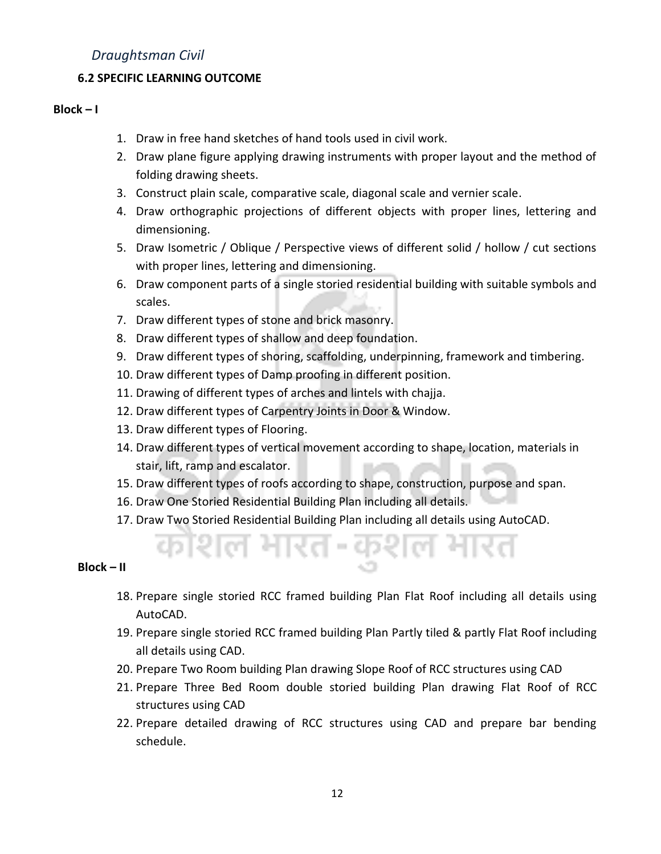#### **6.2 SPECIFIC LEARNING OUTCOME**

#### $Block - I$

- 1. Draw in free hand sketches of hand tools used in civil work.
- 2. Draw plane figure applying drawing instruments with proper layout and the method of folding drawing sheets.
- 3. Construct plain scale, comparative scale, diagonal scale and vernier scale.
- 4. Draw orthographic projections of different objects with proper lines, lettering and dimensioning.
- 5. Draw Isometric / Oblique / Perspective views of different solid / hollow / cut sections with proper lines, lettering and dimensioning.
- 6. Draw component parts of a single storied residential building with suitable symbols and scales.
- 7. Draw different types of stone and brick masonry.
- 8. Draw different types of shallow and deep foundation.
- 9. Draw different types of shoring, scaffolding, underpinning, framework and timbering.
- 10. Draw different types of Damp proofing in different position.
- 11. Drawing of different types of arches and lintels with chajja.
- 12. Draw different types of Carpentry Joints in Door & Window.
- 13. Draw different types of Flooring.
- 14. Draw different types of vertical movement according to shape, location, materials in stair, lift, ramp and escalator.
- 15. Draw different types of roofs according to shape, construction, purpose and span.
- 16. Draw One Storied Residential Building Plan including all details.
- 17. Draw Two Storied Residential Building Plan including all details using AutoCAD.

ल भारत-कुशल

#### **Block – II**

- 18. Prepare single storied RCC framed building Plan Flat Roof including all details using AutoCAD.
- 19. Prepare single storied RCC framed building Plan Partly tiled & partly Flat Roof including all details using CAD.
- 20. Prepare Two Room building Plan drawing Slope Roof of RCC structures using CAD
- 21. Prepare Three Bed Room double storied building Plan drawing Flat Roof of RCC structures using CAD
- 22. Prepare detailed drawing of RCC structures using CAD and prepare bar bending schedule.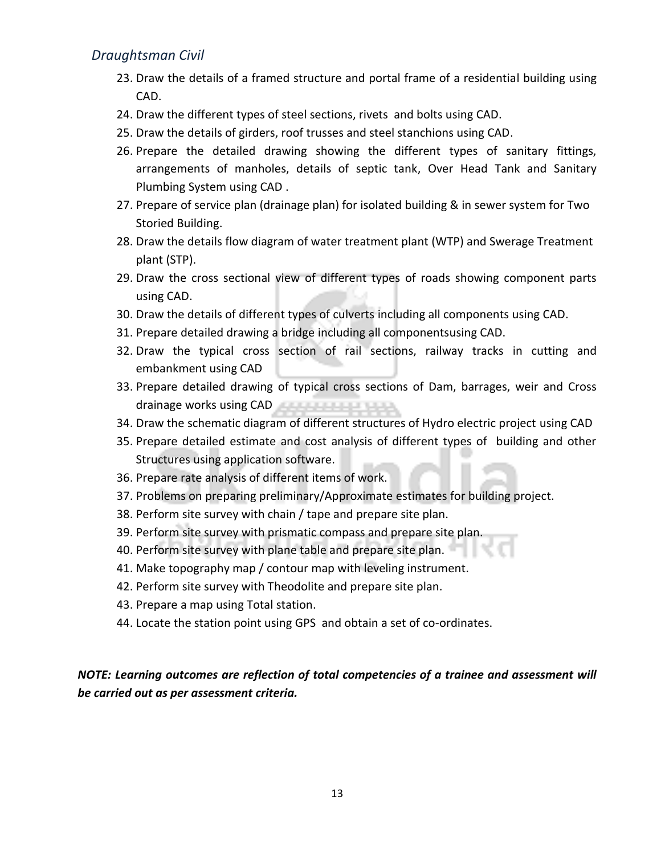- 23. Draw the details of a framed structure and portal frame of a residential building using CAD.
- 24. Draw the different types of steel sections, rivets and bolts using CAD.
- 25. Draw the details of girders, roof trusses and steel stanchions using CAD.
- 26. Prepare the detailed drawing showing the different types of sanitary fittings, arrangements of manholes, details of septic tank, Over Head Tank and Sanitary Plumbing System using CAD .
- 27. Prepare of service plan (drainage plan) for isolated building & in sewer system for Two Storied Building.
- 28. Draw the details flow diagram of water treatment plant (WTP) and Swerage Treatment plant (STP).
- 29. Draw the cross sectional view of different types of roads showing component parts using CAD.
- 30. Draw the details of different types of culverts including all components using CAD.
- 31. Prepare detailed drawing a bridge including all componentsusing CAD.
- 32. Draw the typical cross section of rail sections, railway tracks in cutting and embankment using CAD
- 33. Prepare detailed drawing of typical cross sections of Dam, barrages, weir and Cross drainage works using CAD
- 34. Draw the schematic diagram of different structures of Hydro electric project using CAD
- 35. Prepare detailed estimate and cost analysis of different types of building and other Structures using application software.
- 36. Prepare rate analysis of different items of work.
- 37. Problems on preparing preliminary/Approximate estimates for building project.
- 38. Perform site survey with chain / tape and prepare site plan.
- 39. Perform site survey with prismatic compass and prepare site plan.
- 40. Perform site survey with plane table and prepare site plan.
- 41. Make topography map / contour map with leveling instrument.
- 42. Perform site survey with Theodolite and prepare site plan.
- 43. Prepare a map using Total station.
- 44. Locate the station point using GPS and obtain a set of co-ordinates.

*NOTE: Learning outcomes are reflection of total competencies of a trainee and assessment will be carried out as per assessment criteria.*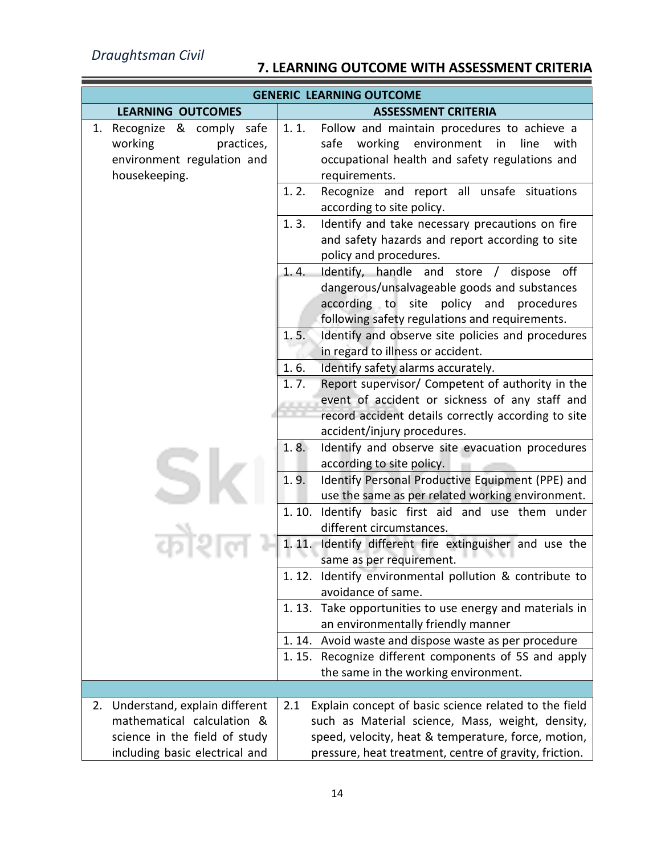٠

# **7. LEARNING OUTCOME WITH ASSESSMENT CRITERIA**

|                                                                                                                                   | <b>GENERIC LEARNING OUTCOME</b>                                                                                                                                                                                                                |
|-----------------------------------------------------------------------------------------------------------------------------------|------------------------------------------------------------------------------------------------------------------------------------------------------------------------------------------------------------------------------------------------|
| <b>LEARNING OUTCOMES</b>                                                                                                          | <b>ASSESSMENT CRITERIA</b>                                                                                                                                                                                                                     |
| 1. Recognize & comply safe<br>working<br>practices,<br>environment regulation and<br>housekeeping.                                | 1.1.<br>Follow and maintain procedures to achieve a<br>safe working<br>environment<br>in<br>line<br>with<br>occupational health and safety regulations and<br>requirements.                                                                    |
|                                                                                                                                   | 1.2.<br>Recognize and report all unsafe situations<br>according to site policy.                                                                                                                                                                |
|                                                                                                                                   | 1.3.<br>Identify and take necessary precautions on fire<br>and safety hazards and report according to site<br>policy and procedures.                                                                                                           |
|                                                                                                                                   | Identify, handle and store / dispose off<br>1.4.<br>dangerous/unsalvageable goods and substances<br>according to<br>site<br>policy<br>and procedures<br>following safety regulations and requirements.<br>1.5.                                 |
|                                                                                                                                   | Identify and observe site policies and procedures<br>in regard to illness or accident.                                                                                                                                                         |
|                                                                                                                                   | 1.6.<br>Identify safety alarms accurately.<br>Report supervisor/ Competent of authority in the<br>1.7.<br>event of accident or sickness of any staff and<br>record accident details correctly according to site<br>accident/injury procedures. |
|                                                                                                                                   | Identify and observe site evacuation procedures<br>1.8.<br>according to site policy.<br>Identify Personal Productive Equipment (PPE) and<br>1.9.<br>use the same as per related working environment.                                           |
|                                                                                                                                   | Identify basic first aid and use them under<br>1.10.<br>different circumstances.<br>Identify different fire extinguisher and use the<br>1.11.                                                                                                  |
|                                                                                                                                   | same as per requirement.<br>1.12. Identify environmental pollution & contribute to                                                                                                                                                             |
|                                                                                                                                   | avoidance of same.                                                                                                                                                                                                                             |
|                                                                                                                                   | 1.13. Take opportunities to use energy and materials in<br>an environmentally friendly manner                                                                                                                                                  |
|                                                                                                                                   | 1.14. Avoid waste and dispose waste as per procedure<br>1.15. Recognize different components of 5S and apply<br>the same in the working environment.                                                                                           |
|                                                                                                                                   |                                                                                                                                                                                                                                                |
| 2. Understand, explain different<br>mathematical calculation &<br>science in the field of study<br>including basic electrical and | Explain concept of basic science related to the field<br>2.1<br>such as Material science, Mass, weight, density,<br>speed, velocity, heat & temperature, force, motion,<br>pressure, heat treatment, centre of gravity, friction.              |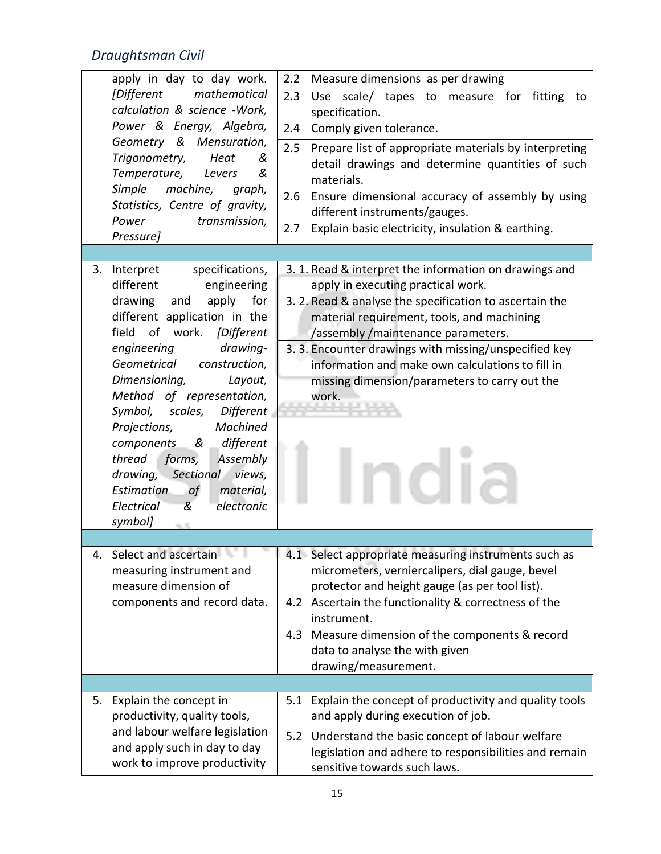|    | apply in day to day work.                                | Measure dimensions as per drawing<br>2.2                     |
|----|----------------------------------------------------------|--------------------------------------------------------------|
|    | <i>Different</i><br>mathematical                         | 2.3<br>Use scale/ tapes to measure for<br>fitting<br>to      |
|    | calculation & science -Work,                             | specification.                                               |
|    | Power & Energy, Algebra,                                 | 2.4<br>Comply given tolerance.                               |
|    | Geometry &<br>Mensuration,                               | 2.5<br>Prepare list of appropriate materials by interpreting |
|    | Trigonometry,<br>Heat<br>&                               | detail drawings and determine quantities of such             |
|    | Temperature,<br>&<br>Levers                              | materials.                                                   |
|    | Simple<br>machine,<br>graph,                             | Ensure dimensional accuracy of assembly by using<br>2.6      |
|    | Statistics, Centre of gravity,<br>transmission,<br>Power | different instruments/gauges.                                |
|    | Pressure]                                                | Explain basic electricity, insulation & earthing.<br>2.7     |
|    |                                                          |                                                              |
|    | 3. Interpret<br>specifications,                          | 3. 1. Read & interpret the information on drawings and       |
|    | different<br>engineering                                 | apply in executing practical work.                           |
|    | drawing<br>apply<br>for<br>and                           | 3. 2. Read & analyse the specification to ascertain the      |
|    | different application in the                             | material requirement, tools, and machining                   |
|    | field<br>of work.<br>[Different                          | /assembly/maintenance parameters.                            |
|    | engineering<br>drawing-                                  | 3. 3. Encounter drawings with missing/unspecified key        |
|    | Geometrical<br>construction,                             | information and make own calculations to fill in             |
|    | Dimensioning,<br>Layout,                                 | missing dimension/parameters to carry out the                |
|    | Method of representation,                                | work.                                                        |
|    | Symbol, scales,<br>Different<br>Machined                 |                                                              |
|    | Projections,<br>& different<br>components                |                                                              |
|    | forms,<br>Assembly<br>thread                             |                                                              |
|    | drawing, Sectional views,                                |                                                              |
|    | <b>Estimation</b><br>material,<br>.of                    |                                                              |
|    | electronic<br>Electrical<br>&                            |                                                              |
|    | symbol]<br>4,700                                         |                                                              |
|    |                                                          |                                                              |
|    | Select and ascertain                                     | 4.1 Select appropriate measuring instruments such as         |
|    | measuring instrument and                                 | micrometers, verniercalipers, dial gauge, bevel              |
|    | measure dimension of                                     | protector and height gauge (as per tool list).               |
|    | components and record data.                              | 4.2 Ascertain the functionality & correctness of the         |
|    |                                                          | instrument.                                                  |
|    |                                                          | 4.3 Measure dimension of the components & record             |
|    |                                                          | data to analyse the with given<br>drawing/measurement.       |
|    |                                                          |                                                              |
| 5. | Explain the concept in                                   | 5.1 Explain the concept of productivity and quality tools    |
|    | productivity, quality tools,                             | and apply during execution of job.                           |
|    | and labour welfare legislation                           | 5.2 Understand the basic concept of labour welfare           |
|    | and apply such in day to day                             | legislation and adhere to responsibilities and remain        |
|    | work to improve productivity                             | sensitive towards such laws.                                 |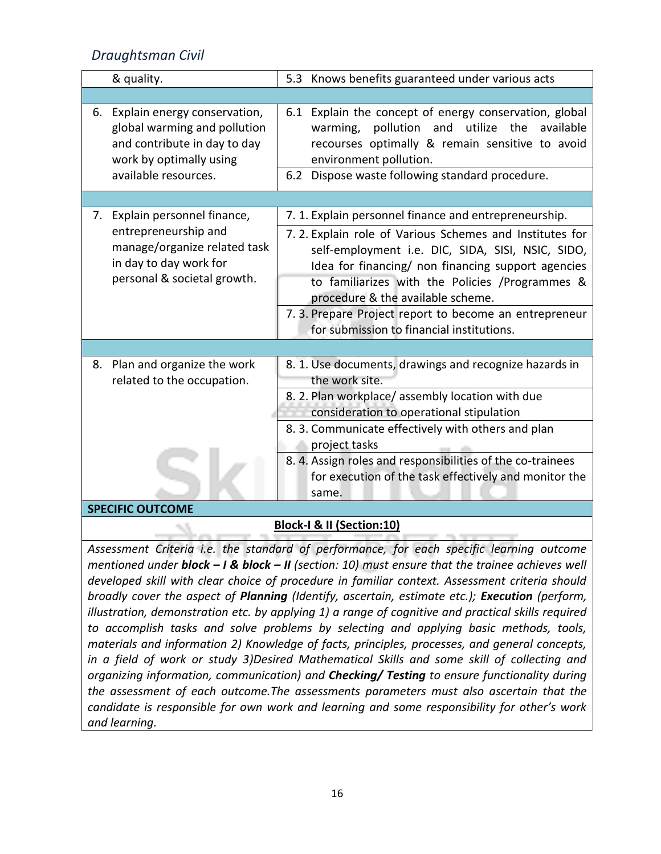13

| Explain energy conservation,<br>6.<br>global warming and pollution<br>and contribute in day to day<br>work by optimally using<br>available resources. | 6.1 Explain the concept of energy conservation, global<br>pollution and utilize<br>the<br>available<br>warming,<br>recourses optimally & remain sensitive to avoid<br>environment pollution.<br>6.2 Dispose waste following standard procedure.                                                                                                                                                                            |
|-------------------------------------------------------------------------------------------------------------------------------------------------------|----------------------------------------------------------------------------------------------------------------------------------------------------------------------------------------------------------------------------------------------------------------------------------------------------------------------------------------------------------------------------------------------------------------------------|
|                                                                                                                                                       |                                                                                                                                                                                                                                                                                                                                                                                                                            |
| 7. Explain personnel finance,<br>entrepreneurship and<br>manage/organize related task<br>in day to day work for<br>personal & societal growth.        | 7. 1. Explain personnel finance and entrepreneurship.<br>7.2. Explain role of Various Schemes and Institutes for<br>self-employment i.e. DIC, SIDA, SISI, NSIC, SIDO,<br>Idea for financing/ non financing support agencies<br>to familiarizes with the Policies /Programmes &<br>procedure & the available scheme.<br>7. 3. Prepare Project report to become an entrepreneur<br>for submission to financial institutions. |
|                                                                                                                                                       |                                                                                                                                                                                                                                                                                                                                                                                                                            |
| Plan and organize the work<br>8.<br>related to the occupation.                                                                                        | 8. 1. Use documents, drawings and recognize hazards in<br>the work site.<br>8. 2. Plan workplace/assembly location with due<br>consideration to operational stipulation                                                                                                                                                                                                                                                    |
|                                                                                                                                                       | 8. 3. Communicate effectively with others and plan<br>project tasks                                                                                                                                                                                                                                                                                                                                                        |
| <b>SPECIFIC OUTCOME</b>                                                                                                                               | 8. 4. Assign roles and responsibilities of the co-trainees<br>for execution of the task effectively and monitor the<br>same.                                                                                                                                                                                                                                                                                               |

### **Block-I & II (Section:10)**

*Assessment Criteria i.e. the standard of performance, for each specific learning outcome mentioned under block – I & block – II (section: 10) must ensure that the trainee achieves well developed skill with clear choice of procedure in familiar context. Assessment criteria should broadly cover the aspect of Planning (Identify, ascertain, estimate etc.); Execution (perform, illustration, demonstration etc. by applying 1) a range of cognitive and practical skills required to accomplish tasks and solve problems by selecting and applying basic methods, tools, materials and information 2) Knowledge of facts, principles, processes, and general concepts, in a field of work or study 3)Desired Mathematical Skills and some skill of collecting and organizing information, communication) and Checking/ Testing to ensure functionality during the assessment of each outcome.The assessments parameters must also ascertain that the candidate is responsible for own work and learning and some responsibility for other's work and learning.*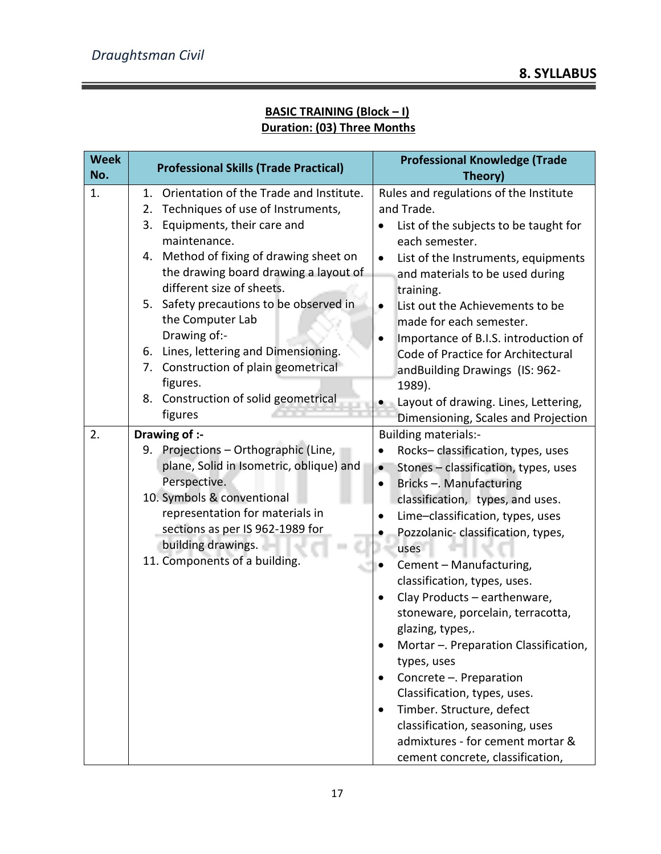## **BASIC TRAINING (Block – I) Duration: (03) Three Months**

| <b>Week</b><br>No. | <b>Professional Skills (Trade Practical)</b>          | <b>Professional Knowledge (Trade</b><br>Theory)                     |  |
|--------------------|-------------------------------------------------------|---------------------------------------------------------------------|--|
| 1.                 | 1. Orientation of the Trade and Institute.            | Rules and regulations of the Institute                              |  |
|                    | Techniques of use of Instruments,<br>2.               | and Trade.                                                          |  |
|                    | Equipments, their care and<br>3.                      | List of the subjects to be taught for                               |  |
|                    | maintenance.                                          | each semester.                                                      |  |
|                    | 4. Method of fixing of drawing sheet on               | List of the Instruments, equipments<br>$\bullet$                    |  |
|                    | the drawing board drawing a layout of                 | and materials to be used during                                     |  |
|                    | different size of sheets.                             | training.                                                           |  |
|                    | 5. Safety precautions to be observed in               | List out the Achievements to be<br>$\bullet$                        |  |
|                    | the Computer Lab                                      | made for each semester.                                             |  |
|                    | Drawing of:-                                          | Importance of B.I.S. introduction of                                |  |
|                    | 6. Lines, lettering and Dimensioning.                 | Code of Practice for Architectural                                  |  |
|                    | 7. Construction of plain geometrical                  | andBuilding Drawings (IS: 962-                                      |  |
|                    | figures.                                              | 1989).                                                              |  |
|                    | 8. Construction of solid geometrical<br>figures       | Layout of drawing. Lines, Lettering,                                |  |
|                    |                                                       | Dimensioning, Scales and Projection                                 |  |
| 2.                 | Drawing of :-                                         | <b>Building materials:-</b>                                         |  |
|                    | 9. Projections - Orthographic (Line,                  | Rocks-classification, types, uses                                   |  |
|                    | plane, Solid in Isometric, oblique) and               | Stones - classification, types, uses<br>$\bullet$                   |  |
|                    | Perspective.                                          | Bricks - Manufacturing                                              |  |
|                    | 10. Symbols & conventional                            | classification, types, and uses.                                    |  |
|                    | representation for materials in                       | Lime-classification, types, uses                                    |  |
|                    | sections as per IS 962-1989 for<br>building drawings. | Pozzolanic-classification, types,                                   |  |
|                    | 11. Components of a building.                         | uses                                                                |  |
|                    |                                                       | Cement - Manufacturing,                                             |  |
|                    |                                                       | classification, types, uses.                                        |  |
|                    |                                                       | Clay Products - earthenware,                                        |  |
|                    |                                                       | stoneware, porcelain, terracotta,                                   |  |
|                    |                                                       | glazing, types,.                                                    |  |
|                    |                                                       | Mortar - Preparation Classification,                                |  |
|                    |                                                       | types, uses                                                         |  |
|                    |                                                       | Concrete - Preparation                                              |  |
|                    |                                                       | Classification, types, uses.                                        |  |
|                    |                                                       | Timber. Structure, defect                                           |  |
|                    |                                                       | classification, seasoning, uses<br>admixtures - for cement mortar & |  |
|                    |                                                       |                                                                     |  |
|                    |                                                       | cement concrete, classification,                                    |  |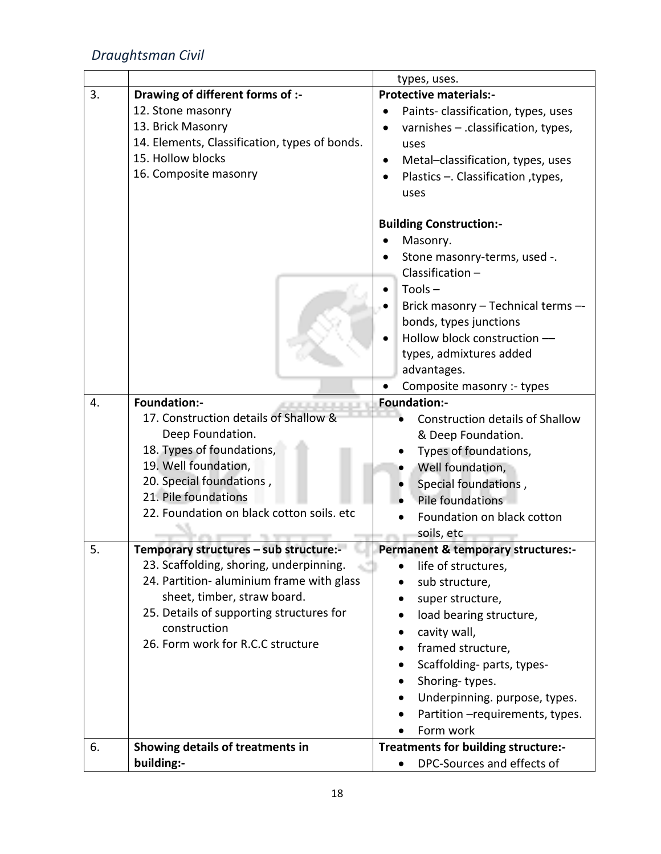|    |                                               | types, uses.                                  |
|----|-----------------------------------------------|-----------------------------------------------|
| 3. | Drawing of different forms of :-              | <b>Protective materials:-</b>                 |
|    | 12. Stone masonry                             | Paints-classification, types, uses            |
|    | 13. Brick Masonry                             | varnishes - .classification, types,           |
|    | 14. Elements, Classification, types of bonds. | uses                                          |
|    | 15. Hollow blocks                             | Metal-classification, types, uses             |
|    | 16. Composite masonry                         | Plastics - Classification, types,             |
|    |                                               | uses                                          |
|    |                                               |                                               |
|    |                                               | <b>Building Construction:-</b>                |
|    |                                               | Masonry.                                      |
|    |                                               | Stone masonry-terms, used -.                  |
|    |                                               | Classification $-$                            |
|    |                                               | $Tools -$                                     |
|    |                                               | Brick masonry - Technical terms --            |
|    |                                               | bonds, types junctions                        |
|    |                                               | Hollow block construction -                   |
|    |                                               | types, admixtures added                       |
|    |                                               | advantages.                                   |
|    |                                               | Composite masonry :- types                    |
| 4. | <b>Foundation:-</b>                           | <b>Foundation:-</b>                           |
|    | 17. Construction details of Shallow &         | <b>Construction details of Shallow</b>        |
|    | Deep Foundation.                              | & Deep Foundation.                            |
|    | 18. Types of foundations,                     | Types of foundations,                         |
|    | 19. Well foundation,                          | Well foundation,                              |
|    | 20. Special foundations,                      | Special foundations,                          |
|    | 21. Pile foundations                          | Pile foundations                              |
|    | 22. Foundation on black cotton soils. etc     | Foundation on black cotton                    |
|    |                                               | soils, etc                                    |
| 5. | Temporary structures - sub structure:-        | <b>Permanent &amp; temporary structures:-</b> |
|    | 23. Scaffolding, shoring, underpinning.       | life of structures,<br>$\bullet$              |
|    | 24. Partition- aluminium frame with glass     | sub structure,                                |
|    | sheet, timber, straw board.                   | super structure,                              |
|    | 25. Details of supporting structures for      | load bearing structure,                       |
|    | construction                                  | cavity wall,                                  |
|    | 26. Form work for R.C.C structure             | framed structure,                             |
|    |                                               | Scaffolding-parts, types-                     |
|    |                                               | Shoring-types.<br>$\bullet$                   |
|    |                                               | Underpinning. purpose, types.                 |
|    |                                               | Partition - requirements, types.              |
|    |                                               | Form work                                     |
| 6. | Showing details of treatments in              | Treatments for building structure:-           |
|    | building:-                                    | DPC-Sources and effects of                    |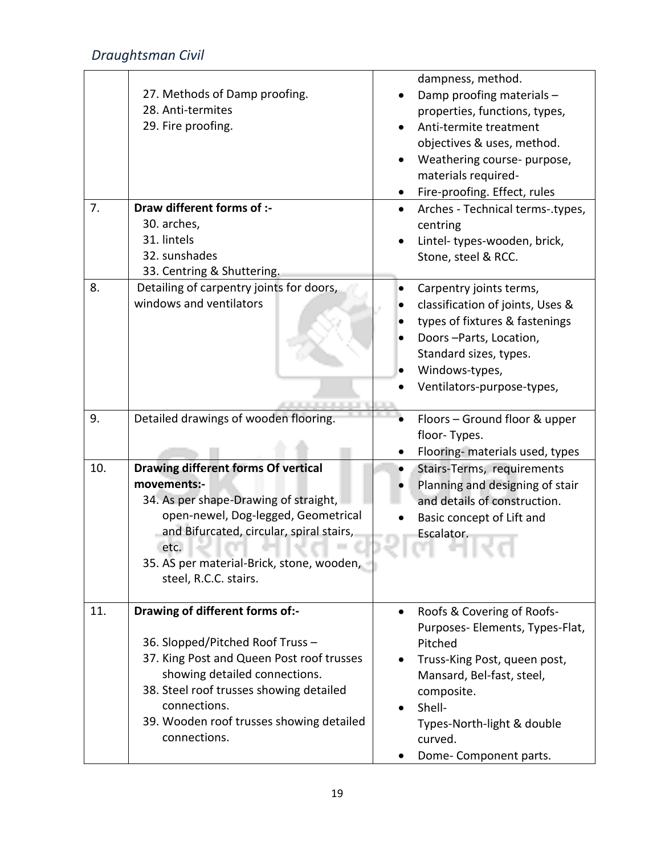|     | 27. Methods of Damp proofing.<br>28. Anti-termites<br>29. Fire proofing.                                                                                                                                                                                            | dampness, method.<br>Damp proofing materials -<br>properties, functions, types,<br>Anti-termite treatment<br>objectives & uses, method.<br>Weathering course- purpose,<br>materials required-<br>Fire-proofing. Effect, rules |
|-----|---------------------------------------------------------------------------------------------------------------------------------------------------------------------------------------------------------------------------------------------------------------------|-------------------------------------------------------------------------------------------------------------------------------------------------------------------------------------------------------------------------------|
| 7.  | Draw different forms of :-                                                                                                                                                                                                                                          | Arches - Technical terms-.types,<br>$\bullet$                                                                                                                                                                                 |
|     | 30. arches,                                                                                                                                                                                                                                                         | centring                                                                                                                                                                                                                      |
|     | 31. lintels<br>32. sunshades                                                                                                                                                                                                                                        | Lintel-types-wooden, brick,                                                                                                                                                                                                   |
|     | 33. Centring & Shuttering.                                                                                                                                                                                                                                          | Stone, steel & RCC.                                                                                                                                                                                                           |
| 8.  | Detailing of carpentry joints for doors,<br>windows and ventilators                                                                                                                                                                                                 | Carpentry joints terms,<br>classification of joints, Uses &<br>types of fixtures & fastenings<br>Doors-Parts, Location,<br>Standard sizes, types.                                                                             |
|     |                                                                                                                                                                                                                                                                     | Windows-types,                                                                                                                                                                                                                |
|     |                                                                                                                                                                                                                                                                     | Ventilators-purpose-types,                                                                                                                                                                                                    |
| 9.  | Detailed drawings of wooden flooring.                                                                                                                                                                                                                               | Floors - Ground floor & upper<br>floor-Types.                                                                                                                                                                                 |
|     |                                                                                                                                                                                                                                                                     | Flooring- materials used, types                                                                                                                                                                                               |
| 10. | <b>Drawing different forms Of vertical</b><br>movements:-<br>34. As per shape-Drawing of straight,<br>open-newel, Dog-legged, Geometrical<br>and Bifurcated, circular, spiral stairs,<br>etc.<br>35. AS per material-Brick, stone, wooden,<br>steel, R.C.C. stairs. | Stairs-Terms, requirements<br>Planning and designing of stair<br>and details of construction.<br>Basic concept of Lift and<br>Escalator.<br>70 H                                                                              |
| 11. | Drawing of different forms of:-                                                                                                                                                                                                                                     | Roofs & Covering of Roofs-<br>$\bullet$<br>Purposes- Elements, Types-Flat,                                                                                                                                                    |
|     | 36. Slopped/Pitched Roof Truss -<br>37. King Post and Queen Post roof trusses<br>showing detailed connections.<br>38. Steel roof trusses showing detailed<br>connections.<br>39. Wooden roof trusses showing detailed<br>connections.                               | Pitched<br>Truss-King Post, queen post,<br>Mansard, Bel-fast, steel,<br>composite.<br>Shell-<br>Types-North-light & double<br>curved.<br>Dome-Component parts.                                                                |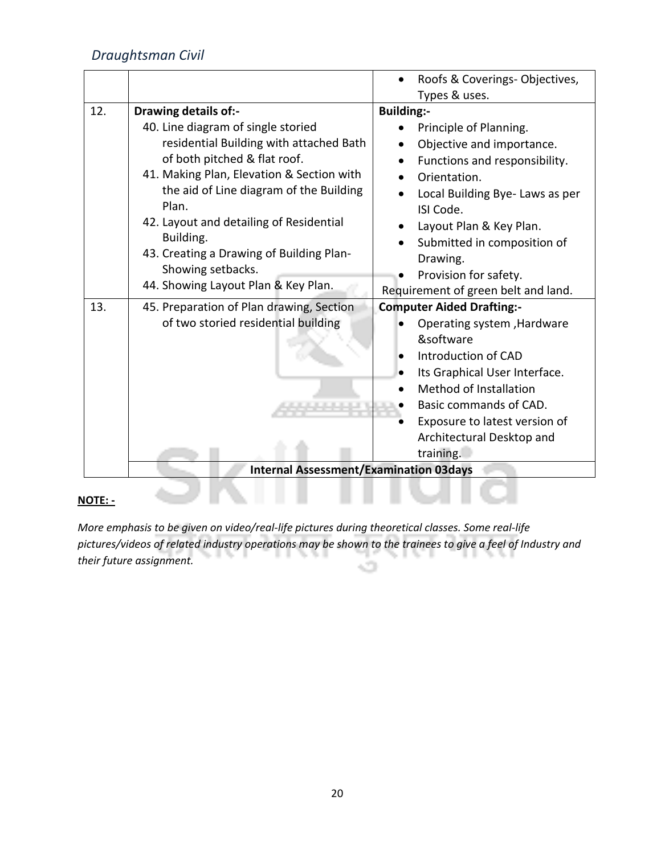|     |                                               | Roofs & Coverings-Objectives,       |
|-----|-----------------------------------------------|-------------------------------------|
|     |                                               | Types & uses.                       |
| 12. | <b>Drawing details of:-</b>                   | <b>Building:-</b>                   |
|     | 40. Line diagram of single storied            | Principle of Planning.              |
|     | residential Building with attached Bath       | Objective and importance.           |
|     | of both pitched & flat roof.                  | Functions and responsibility.       |
|     | 41. Making Plan, Elevation & Section with     | Orientation.                        |
|     | the aid of Line diagram of the Building       | Local Building Bye- Laws as per     |
|     | Plan.                                         | ISI Code.                           |
|     | 42. Layout and detailing of Residential       | Layout Plan & Key Plan.             |
|     | Building.                                     | Submitted in composition of         |
|     | 43. Creating a Drawing of Building Plan-      | Drawing.                            |
|     | Showing setbacks.                             | Provision for safety.               |
|     | 44. Showing Layout Plan & Key Plan.           | Requirement of green belt and land. |
| 13. | 45. Preparation of Plan drawing, Section      | <b>Computer Aided Drafting:-</b>    |
|     | of two storied residential building           | Operating system, Hardware          |
|     |                                               | &software                           |
|     |                                               | Introduction of CAD                 |
|     |                                               | Its Graphical User Interface.       |
|     |                                               | <b>Method of Installation</b>       |
|     |                                               | Basic commands of CAD.              |
|     |                                               | Exposure to latest version of       |
|     |                                               | Architectural Desktop and           |
|     |                                               | training.                           |
|     | <b>Internal Assessment/Examination 03days</b> |                                     |

# **NOTE: -**

*More emphasis to be given on video/real-life pictures during theoretical classes. Some real-life pictures/videos of related industry operations may be shown to the trainees to give a feel of Industry and their future assignment.* -2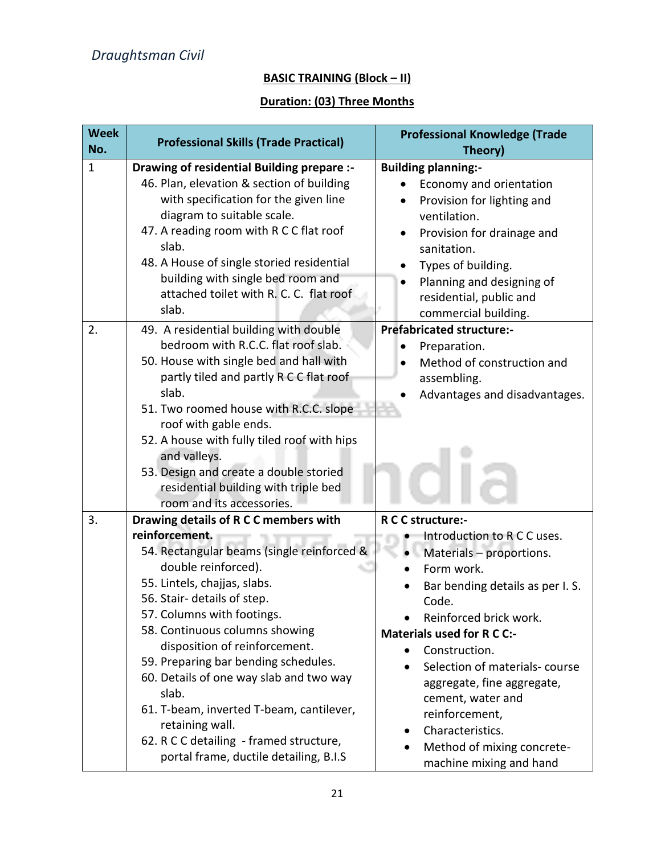# **BASIC TRAINING (Block – II)**

# **Duration: (03) Three Months**

| <b>Week</b><br>No. | <b>Professional Skills (Trade Practical)</b>                                                                                                                                                                                                                                                                                                                                                                                                                                                                                                 | <b>Professional Knowledge (Trade</b><br>Theory)                                                                                                                                                                                                                                                                                                                                                                        |
|--------------------|----------------------------------------------------------------------------------------------------------------------------------------------------------------------------------------------------------------------------------------------------------------------------------------------------------------------------------------------------------------------------------------------------------------------------------------------------------------------------------------------------------------------------------------------|------------------------------------------------------------------------------------------------------------------------------------------------------------------------------------------------------------------------------------------------------------------------------------------------------------------------------------------------------------------------------------------------------------------------|
| $\mathbf{1}$       | Drawing of residential Building prepare :-<br>46. Plan, elevation & section of building<br>with specification for the given line<br>diagram to suitable scale.<br>47. A reading room with R C C flat roof<br>slab.<br>48. A House of single storied residential<br>building with single bed room and<br>attached toilet with R. C. C. flat roof<br>slab.                                                                                                                                                                                     | <b>Building planning:-</b><br>Economy and orientation<br>Provision for lighting and<br>ventilation.<br>Provision for drainage and<br>sanitation.<br>Types of building.<br>Planning and designing of<br>residential, public and<br>commercial building.                                                                                                                                                                 |
| 2.                 | 49. A residential building with double<br>bedroom with R.C.C. flat roof slab.<br>50. House with single bed and hall with<br>partly tiled and partly R C C flat roof<br>slab.<br>51. Two roomed house with R.C.C. slope<br>roof with gable ends.<br>52. A house with fully tiled roof with hips<br>and valleys.<br>53. Design and create a double storied<br>residential building with triple bed<br>room and its accessories.                                                                                                                | <b>Prefabricated structure:-</b><br>Preparation.<br>Method of construction and<br>assembling.<br>Advantages and disadvantages.                                                                                                                                                                                                                                                                                         |
| 3.                 | Drawing details of R C C members with<br>reinforcement.<br>54. Rectangular beams (single reinforced &<br>double reinforced).<br>55. Lintels, chajjas, slabs.<br>56. Stair- details of step.<br>57. Columns with footings.<br>58. Continuous columns showing<br>disposition of reinforcement.<br>59. Preparing bar bending schedules.<br>60. Details of one way slab and two way<br>slab.<br>61. T-beam, inverted T-beam, cantilever,<br>retaining wall.<br>62. R C C detailing - framed structure,<br>portal frame, ductile detailing, B.I.S | R C C structure:-<br>Introduction to R C C uses.<br>Materials - proportions.<br>Form work.<br>Bar bending details as per I.S.<br>Code.<br>Reinforced brick work.<br><b>Materials used for R C C:-</b><br>Construction.<br>$\bullet$<br>Selection of materials-course<br>aggregate, fine aggregate,<br>cement, water and<br>reinforcement,<br>Characteristics.<br>Method of mixing concrete-<br>machine mixing and hand |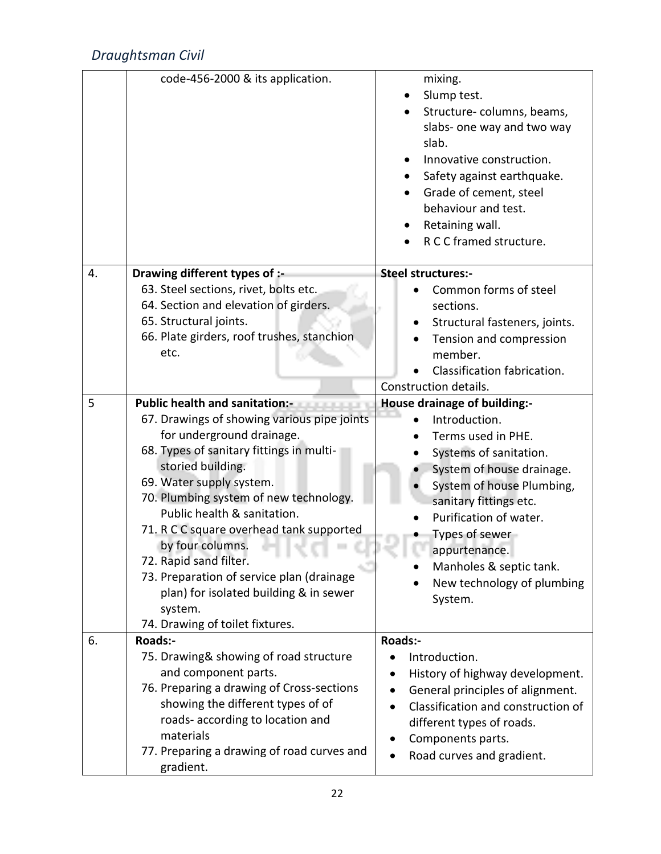|    | code-456-2000 & its application.                                                                                                                                                                                                                                                                                                                                                                                                                                                                                | mixing.<br>Slump test.<br>Structure-columns, beams,<br>slabs- one way and two way<br>slab.<br>Innovative construction.<br>Safety against earthquake.<br>$\bullet$<br>Grade of cement, steel                                                                                                                        |
|----|-----------------------------------------------------------------------------------------------------------------------------------------------------------------------------------------------------------------------------------------------------------------------------------------------------------------------------------------------------------------------------------------------------------------------------------------------------------------------------------------------------------------|--------------------------------------------------------------------------------------------------------------------------------------------------------------------------------------------------------------------------------------------------------------------------------------------------------------------|
|    |                                                                                                                                                                                                                                                                                                                                                                                                                                                                                                                 | behaviour and test.<br>Retaining wall.<br>R C C framed structure.                                                                                                                                                                                                                                                  |
| 4. | Drawing different types of :-<br>63. Steel sections, rivet, bolts etc.<br>64. Section and elevation of girders.<br>65. Structural joints.<br>66. Plate girders, roof trushes, stanchion<br>etc.                                                                                                                                                                                                                                                                                                                 | <b>Steel structures:-</b><br>Common forms of steel<br>sections.<br>Structural fasteners, joints.<br>Tension and compression<br>member.<br>Classification fabrication.<br>Construction details.                                                                                                                     |
| 5  | Public health and sanitation:-<br>67. Drawings of showing various pipe joints<br>for underground drainage.<br>68. Types of sanitary fittings in multi-<br>storied building.<br>69. Water supply system.<br>70. Plumbing system of new technology.<br>Public health & sanitation.<br>71. R C C square overhead tank supported<br>by four columns.<br>72. Rapid sand filter.<br>73. Preparation of service plan (drainage<br>plan) for isolated building & in sewer<br>system.<br>74. Drawing of toilet fixtures. | House drainage of building:-<br>Introduction.<br>Terms used in PHE.<br>Systems of sanitation.<br>System of house drainage.<br>System of house Plumbing,<br>sanitary fittings etc.<br>Purification of water.<br>Types of sewer<br>appurtenance.<br>Manholes & septic tank.<br>New technology of plumbing<br>System. |
| 6. | <b>Roads:-</b><br>75. Drawing& showing of road structure<br>and component parts.<br>76. Preparing a drawing of Cross-sections<br>showing the different types of of<br>roads- according to location and<br>materials<br>77. Preparing a drawing of road curves and<br>gradient.                                                                                                                                                                                                                                  | Roads:-<br>Introduction.<br>History of highway development.<br>General principles of alignment.<br>Classification and construction of<br>different types of roads.<br>Components parts.<br>Road curves and gradient.                                                                                               |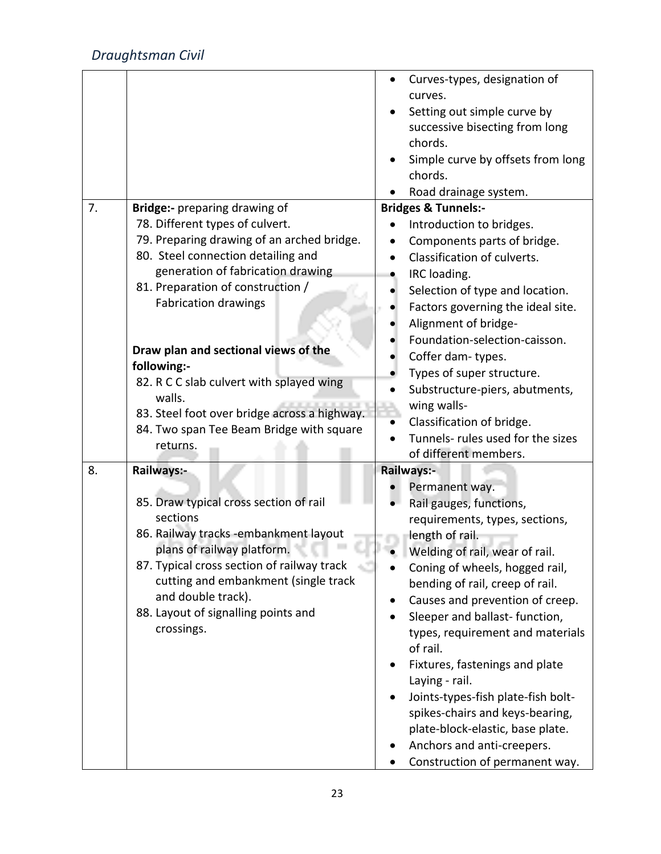|    |                                                                                          | Curves-types, designation of<br>curves.                                  |
|----|------------------------------------------------------------------------------------------|--------------------------------------------------------------------------|
|    |                                                                                          | Setting out simple curve by<br>successive bisecting from long<br>chords. |
|    |                                                                                          | Simple curve by offsets from long<br>chords.                             |
|    |                                                                                          | Road drainage system.                                                    |
| 7. | Bridge:- preparing drawing of                                                            | <b>Bridges &amp; Tunnels:-</b>                                           |
|    | 78. Different types of culvert.                                                          | Introduction to bridges.                                                 |
|    | 79. Preparing drawing of an arched bridge.                                               | Components parts of bridge.                                              |
|    | 80. Steel connection detailing and                                                       | Classification of culverts.                                              |
|    | generation of fabrication drawing                                                        | IRC loading.                                                             |
|    | 81. Preparation of construction /                                                        | Selection of type and location.                                          |
|    | <b>Fabrication drawings</b>                                                              | Factors governing the ideal site.                                        |
|    |                                                                                          | Alignment of bridge-                                                     |
|    |                                                                                          | Foundation-selection-caisson.                                            |
|    | Draw plan and sectional views of the                                                     | Coffer dam-types.                                                        |
|    | following:-                                                                              | Types of super structure.                                                |
|    | 82. R C C slab culvert with splayed wing                                                 | Substructure-piers, abutments,                                           |
|    | walls.                                                                                   | wing walls-                                                              |
|    | 83. Steel foot over bridge across a highway.<br>84. Two span Tee Beam Bridge with square | Classification of bridge.                                                |
|    | returns.                                                                                 | Tunnels- rules used for the sizes                                        |
|    |                                                                                          | of different members.                                                    |
| 8. | Railways:-                                                                               | <b>Railways:-</b>                                                        |
|    |                                                                                          | Permanent way.                                                           |
|    | 85. Draw typical cross section of rail                                                   | Rail gauges, functions,                                                  |
|    | sections                                                                                 | requirements, types, sections,                                           |
|    | 86. Railway tracks -embankment layout                                                    | length of rail.                                                          |
|    | plans of railway platform.                                                               | Welding of rail, wear of rail.                                           |
|    | 87. Typical cross section of railway track                                               | Coning of wheels, hogged rail,                                           |
|    | cutting and embankment (single track                                                     | bending of rail, creep of rail.                                          |
|    | and double track).                                                                       | Causes and prevention of creep.                                          |
|    | 88. Layout of signalling points and                                                      | Sleeper and ballast-function,                                            |
|    | crossings.                                                                               | types, requirement and materials                                         |
|    |                                                                                          | of rail.                                                                 |
|    |                                                                                          | Fixtures, fastenings and plate<br>Laying - rail.                         |
|    |                                                                                          | Joints-types-fish plate-fish bolt-                                       |
|    |                                                                                          | spikes-chairs and keys-bearing,                                          |
|    |                                                                                          | plate-block-elastic, base plate.                                         |
|    |                                                                                          | Anchors and anti-creepers.                                               |
|    |                                                                                          | Construction of permanent way.                                           |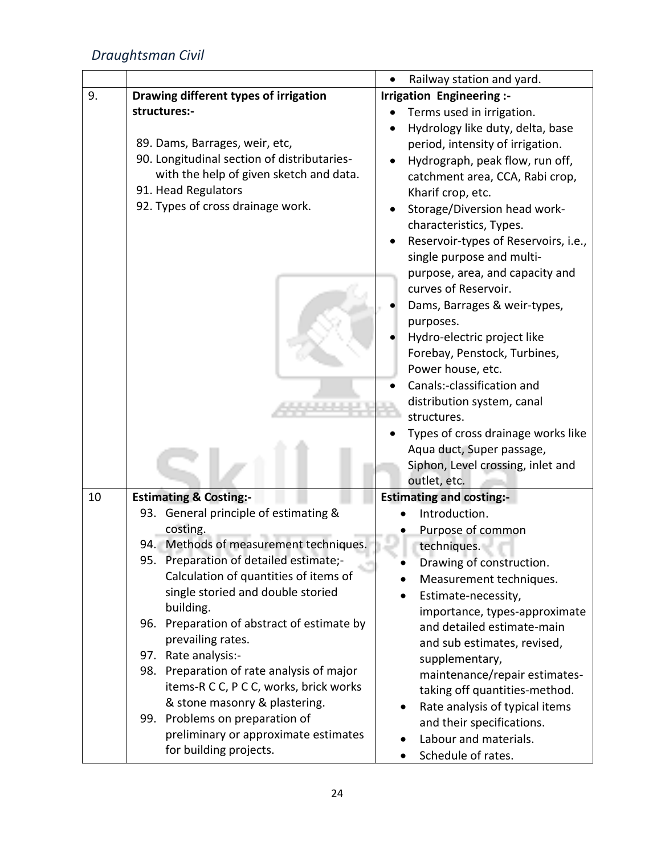|    |                                                                                     | Railway station and yard.            |
|----|-------------------------------------------------------------------------------------|--------------------------------------|
| 9. | Drawing different types of irrigation                                               | Irrigation Engineering :-            |
|    | structures:-                                                                        | Terms used in irrigation.            |
|    |                                                                                     | Hydrology like duty, delta, base     |
|    | 89. Dams, Barrages, weir, etc,                                                      | period, intensity of irrigation.     |
|    | 90. Longitudinal section of distributaries-                                         | Hydrograph, peak flow, run off,      |
|    | with the help of given sketch and data.                                             | catchment area, CCA, Rabi crop,      |
|    | 91. Head Regulators                                                                 | Kharif crop, etc.                    |
|    | 92. Types of cross drainage work.                                                   | Storage/Diversion head work-         |
|    |                                                                                     | characteristics, Types.              |
|    |                                                                                     | Reservoir-types of Reservoirs, i.e., |
|    |                                                                                     | single purpose and multi-            |
|    |                                                                                     | purpose, area, and capacity and      |
|    |                                                                                     | curves of Reservoir.                 |
|    |                                                                                     | Dams, Barrages & weir-types,         |
|    |                                                                                     | purposes.                            |
|    |                                                                                     | Hydro-electric project like          |
|    |                                                                                     | Forebay, Penstock, Turbines,         |
|    |                                                                                     | Power house, etc.                    |
|    |                                                                                     | Canals:-classification and           |
|    |                                                                                     | distribution system, canal           |
|    |                                                                                     | structures.                          |
|    |                                                                                     | Types of cross drainage works like   |
|    |                                                                                     | Aqua duct, Super passage,            |
|    |                                                                                     | Siphon, Level crossing, inlet and    |
|    |                                                                                     | outlet, etc.                         |
| 10 | <b>Estimating &amp; Costing:-</b>                                                   | <b>Estimating and costing:-</b>      |
|    | 93. General principle of estimating &                                               | Introduction.                        |
|    | costing.                                                                            | Purpose of common                    |
|    | 94. Methods of measurement techniques.                                              | techniques.                          |
|    | 95. Preparation of detailed estimate;-                                              | Drawing of construction.             |
|    | Calculation of quantities of items of                                               | Measurement techniques.              |
|    | single storied and double storied                                                   | Estimate-necessity,                  |
|    | building.                                                                           | importance, types-approximate        |
|    | 96. Preparation of abstract of estimate by                                          | and detailed estimate-main           |
|    | prevailing rates.                                                                   | and sub estimates, revised,          |
|    | 97. Rate analysis:-                                                                 | supplementary,                       |
|    | 98. Preparation of rate analysis of major<br>items-R C C, P C C, works, brick works | maintenance/repair estimates-        |
|    | & stone masonry & plastering.                                                       | taking off quantities-method.        |
|    | 99. Problems on preparation of                                                      | Rate analysis of typical items       |
|    | preliminary or approximate estimates                                                | and their specifications.            |
|    | for building projects.                                                              | Labour and materials.                |
|    |                                                                                     | Schedule of rates.                   |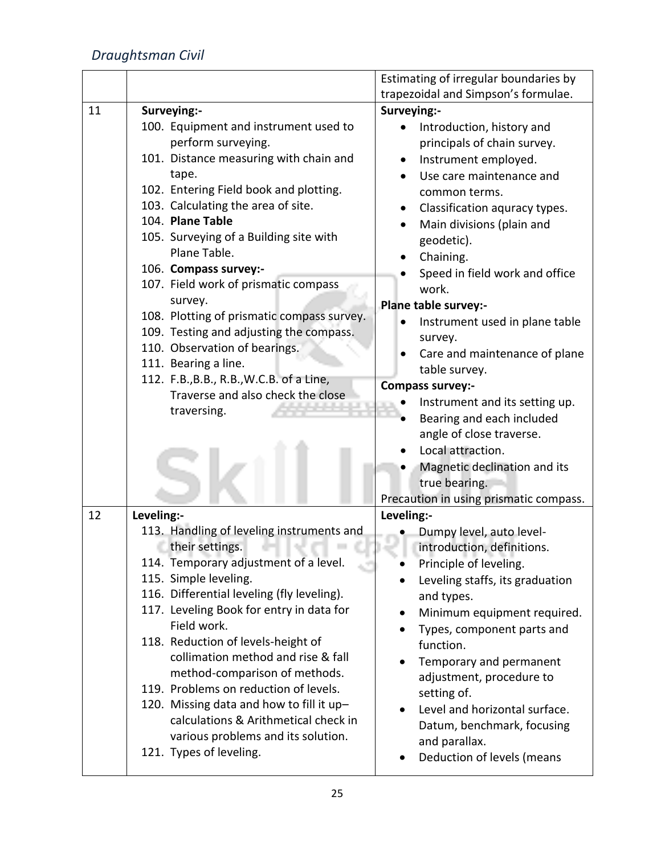|    |                                                                          | Estimating of irregular boundaries by  |
|----|--------------------------------------------------------------------------|----------------------------------------|
|    |                                                                          | trapezoidal and Simpson's formulae.    |
| 11 | Surveying:-                                                              | Surveying:-                            |
|    | 100. Equipment and instrument used to                                    | Introduction, history and              |
|    | perform surveying.                                                       | principals of chain survey.            |
|    | 101. Distance measuring with chain and                                   | Instrument employed.                   |
|    | tape.                                                                    | Use care maintenance and               |
|    | 102. Entering Field book and plotting.                                   | common terms.                          |
|    | 103. Calculating the area of site.                                       | Classification aquracy types.          |
|    | 104. Plane Table                                                         | Main divisions (plain and              |
|    | 105. Surveying of a Building site with                                   | geodetic).                             |
|    | Plane Table.                                                             | Chaining.                              |
|    | 106. Compass survey:-                                                    | Speed in field work and office         |
|    | 107. Field work of prismatic compass                                     | work.                                  |
|    | survey.                                                                  | Plane table survey:-                   |
|    | 108. Plotting of prismatic compass survey.                               | Instrument used in plane table         |
|    | 109. Testing and adjusting the compass.<br>110. Observation of bearings. | survey.                                |
|    | 111. Bearing a line.                                                     | Care and maintenance of plane          |
|    | 112. F.B., B.B., R.B., W.C.B. of a Line,                                 | table survey.                          |
|    | Traverse and also check the close                                        | Compass survey:-                       |
|    | traversing.                                                              | Instrument and its setting up.         |
|    |                                                                          | Bearing and each included              |
|    |                                                                          | angle of close traverse.               |
|    |                                                                          | Local attraction.                      |
|    |                                                                          | Magnetic declination and its           |
|    |                                                                          | true bearing.                          |
|    |                                                                          | Precaution in using prismatic compass. |
| 12 | Leveling:-                                                               | Leveling:-                             |
|    | 113. Handling of leveling instruments and                                | Dumpy level, auto level-               |
|    | their settings.                                                          | introduction, definitions.             |
|    | 114. Temporary adjustment of a level.                                    | Principle of leveling.                 |
|    | 115. Simple leveling.<br>116. Differential leveling (fly leveling).      | Leveling staffs, its graduation        |
|    | 117. Leveling Book for entry in data for                                 | and types.                             |
|    | Field work.                                                              | Minimum equipment required.            |
|    | 118. Reduction of levels-height of                                       | Types, component parts and             |
|    | collimation method and rise & fall                                       | function.                              |
|    | method-comparison of methods.                                            | Temporary and permanent                |
|    | 119. Problems on reduction of levels.                                    | adjustment, procedure to               |
|    | 120. Missing data and how to fill it up-                                 | setting of.                            |
|    | calculations & Arithmetical check in                                     | Level and horizontal surface.          |
|    | various problems and its solution.                                       | Datum, benchmark, focusing             |
|    | 121. Types of leveling.                                                  | and parallax.                          |
|    |                                                                          | Deduction of levels (means             |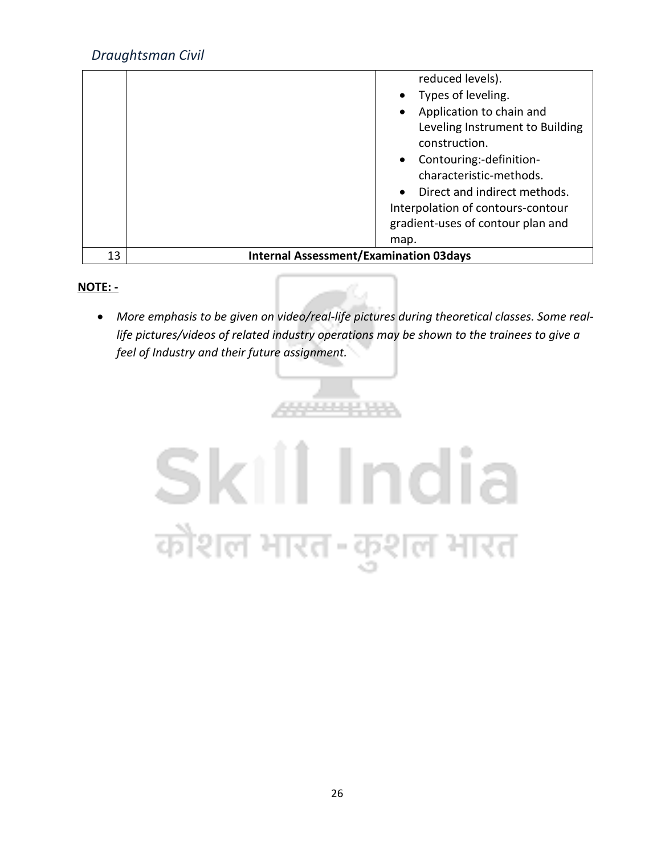|    | reduced levels).<br>Types of leveling.<br>Application to chain and<br>Leveling Instrument to Building<br>construction.<br>• Contouring:-definition-<br>characteristic-methods.<br>Direct and indirect methods.<br>Interpolation of contours-contour<br>gradient-uses of contour plan and<br>map. |
|----|--------------------------------------------------------------------------------------------------------------------------------------------------------------------------------------------------------------------------------------------------------------------------------------------------|
| 13 | <b>Internal Assessment/Examination 03days</b>                                                                                                                                                                                                                                                    |

## **NOTE: -**

• *More emphasis to be given on video/real-life pictures during theoretical classes. Some reallife pictures/videos of related industry operations may be shown to the trainees to give a feel of Industry and their future assignment.*

**ARRESTER** 

# Skill India कौशल भारत-कुशल भारत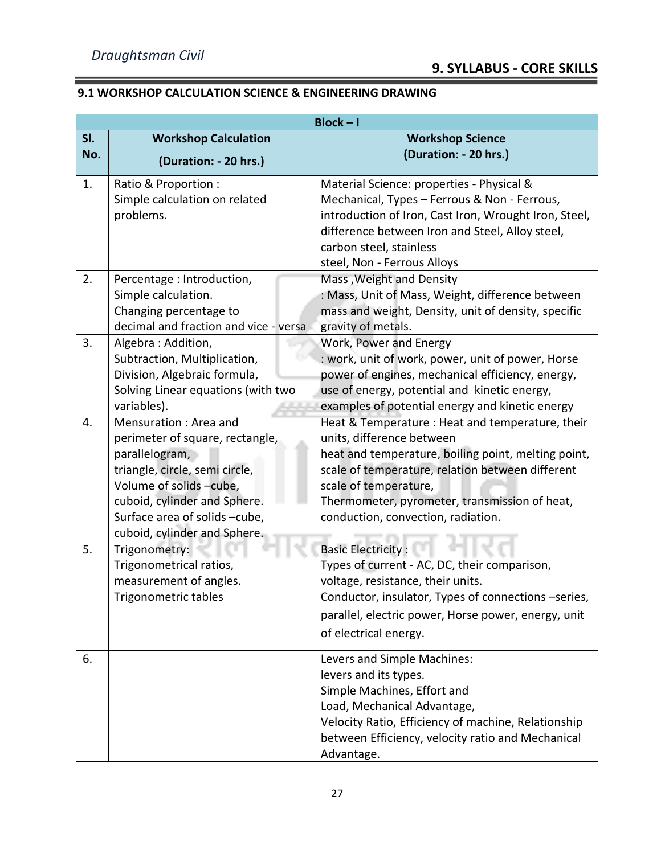# **9.1 WORKSHOP CALCULATION SCIENCE & ENGINEERING DRAWING**

|            | $Block - I$                                                                                                                                                                                                                              |                                                                                                                                                                                                                                                                                                          |  |
|------------|------------------------------------------------------------------------------------------------------------------------------------------------------------------------------------------------------------------------------------------|----------------------------------------------------------------------------------------------------------------------------------------------------------------------------------------------------------------------------------------------------------------------------------------------------------|--|
| SI.<br>No. | <b>Workshop Calculation</b><br>(Duration: - 20 hrs.)                                                                                                                                                                                     | <b>Workshop Science</b><br>(Duration: - 20 hrs.)                                                                                                                                                                                                                                                         |  |
| 1.         | Ratio & Proportion:<br>Simple calculation on related<br>problems.                                                                                                                                                                        | Material Science: properties - Physical &<br>Mechanical, Types - Ferrous & Non - Ferrous,<br>introduction of Iron, Cast Iron, Wrought Iron, Steel,<br>difference between Iron and Steel, Alloy steel,<br>carbon steel, stainless<br>steel, Non - Ferrous Alloys                                          |  |
| 2.         | Percentage : Introduction,<br>Simple calculation.<br>Changing percentage to<br>decimal and fraction and vice - versa                                                                                                                     | Mass, Weight and Density<br>: Mass, Unit of Mass, Weight, difference between<br>mass and weight, Density, unit of density, specific<br>gravity of metals.                                                                                                                                                |  |
| 3.         | Algebra: Addition,<br>Subtraction, Multiplication,<br>Division, Algebraic formula,<br>Solving Linear equations (with two<br>variables).                                                                                                  | Work, Power and Energy<br>: work, unit of work, power, unit of power, Horse<br>power of engines, mechanical efficiency, energy,<br>use of energy, potential and kinetic energy,<br>examples of potential energy and kinetic energy                                                                       |  |
| 4.         | Mensuration: Area and<br>perimeter of square, rectangle,<br>parallelogram,<br>triangle, circle, semi circle,<br>Volume of solids -cube,<br>cuboid, cylinder and Sphere.<br>Surface area of solids -cube,<br>cuboid, cylinder and Sphere. | Heat & Temperature : Heat and temperature, their<br>units, difference between<br>heat and temperature, boiling point, melting point,<br>scale of temperature, relation between different<br>scale of temperature,<br>Thermometer, pyrometer, transmission of heat,<br>conduction, convection, radiation. |  |
| 5.         | Trigonometry:<br>Trigonometrical ratios,<br>measurement of angles.<br>Trigonometric tables                                                                                                                                               | <b>Basic Electricity:</b><br>Types of current - AC, DC, their comparison,<br>voltage, resistance, their units.<br>Conductor, insulator, Types of connections -series,<br>parallel, electric power, Horse power, energy, unit<br>of electrical energy.                                                    |  |
| 6.         |                                                                                                                                                                                                                                          | Levers and Simple Machines:<br>levers and its types.<br>Simple Machines, Effort and<br>Load, Mechanical Advantage,<br>Velocity Ratio, Efficiency of machine, Relationship<br>between Efficiency, velocity ratio and Mechanical<br>Advantage.                                                             |  |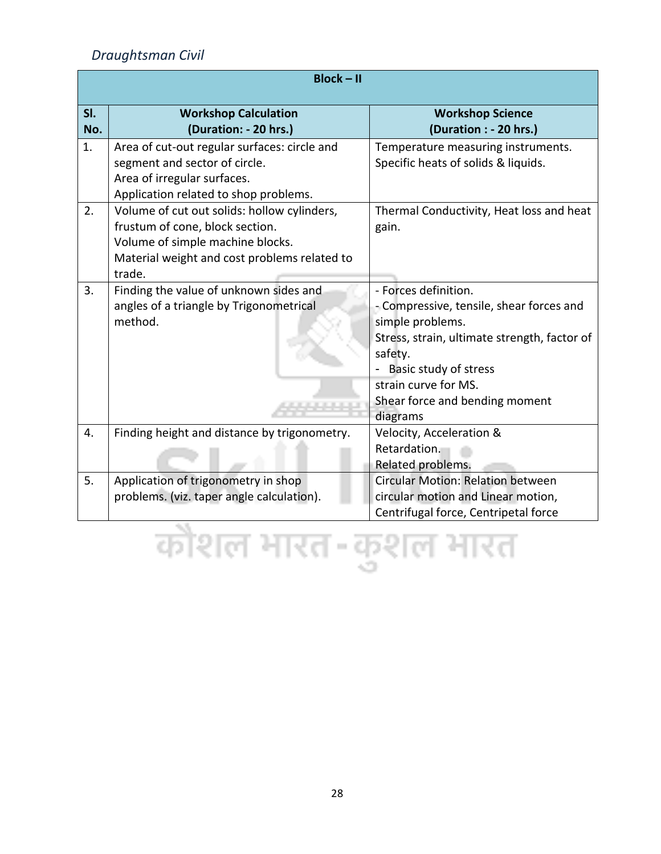|            | <b>Block-II</b>                                                                                                                                                              |                                                                                                                                                                                                                                                |  |  |
|------------|------------------------------------------------------------------------------------------------------------------------------------------------------------------------------|------------------------------------------------------------------------------------------------------------------------------------------------------------------------------------------------------------------------------------------------|--|--|
| SI.<br>No. | <b>Workshop Calculation</b><br>(Duration: - 20 hrs.)                                                                                                                         | <b>Workshop Science</b><br>(Duration : - 20 hrs.)                                                                                                                                                                                              |  |  |
| 1.         | Area of cut-out regular surfaces: circle and<br>segment and sector of circle.<br>Area of irregular surfaces.<br>Application related to shop problems.                        | Temperature measuring instruments.<br>Specific heats of solids & liquids.                                                                                                                                                                      |  |  |
| 2.         | Volume of cut out solids: hollow cylinders,<br>frustum of cone, block section.<br>Volume of simple machine blocks.<br>Material weight and cost problems related to<br>trade. | Thermal Conductivity, Heat loss and heat<br>gain.                                                                                                                                                                                              |  |  |
| 3.         | Finding the value of unknown sides and<br>angles of a triangle by Trigonometrical<br>method.                                                                                 | - Forces definition.<br>- Compressive, tensile, shear forces and<br>simple problems.<br>Stress, strain, ultimate strength, factor of<br>safety.<br>Basic study of stress<br>strain curve for MS.<br>Shear force and bending moment<br>diagrams |  |  |
| 4.         | Finding height and distance by trigonometry.                                                                                                                                 | Velocity, Acceleration &<br>Retardation.<br>Related problems.                                                                                                                                                                                  |  |  |
| 5.         | Application of trigonometry in shop<br>problems. (viz. taper angle calculation).                                                                                             | <b>Circular Motion: Relation between</b><br>circular motion and Linear motion,<br>Centrifugal force, Centripetal force                                                                                                                         |  |  |

# Centrifugal rorce, Centripetal<br>Caping Centrifugal force, Centripetal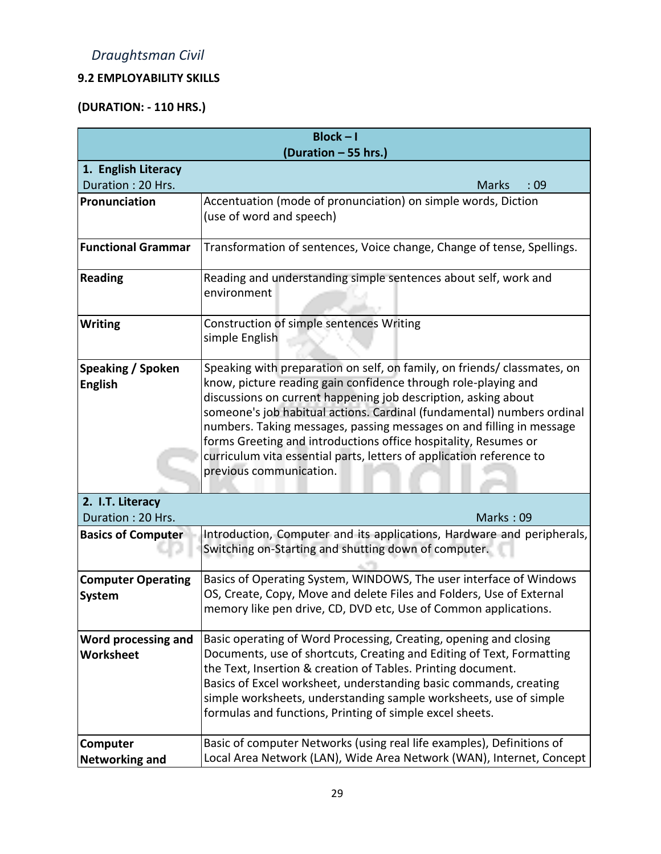# **9.2 EMPLOYABILITY SKILLS**

# **(DURATION: - 110 HRS.)**

|                           | $Block - I$                                                                                     |
|---------------------------|-------------------------------------------------------------------------------------------------|
|                           | (Duration - 55 hrs.)                                                                            |
| 1. English Literacy       |                                                                                                 |
| Duration: 20 Hrs.         | <b>Marks</b><br>:09                                                                             |
| Pronunciation             | Accentuation (mode of pronunciation) on simple words, Diction                                   |
|                           | (use of word and speech)                                                                        |
| <b>Functional Grammar</b> | Transformation of sentences, Voice change, Change of tense, Spellings.                          |
| <b>Reading</b>            | Reading and understanding simple sentences about self, work and<br>environment                  |
| <b>Writing</b>            | Construction of simple sentences Writing                                                        |
|                           | simple English                                                                                  |
| <b>Speaking / Spoken</b>  | Speaking with preparation on self, on family, on friends/ classmates, on                        |
| <b>English</b>            | know, picture reading gain confidence through role-playing and                                  |
|                           | discussions on current happening job description, asking about                                  |
|                           | someone's job habitual actions. Cardinal (fundamental) numbers ordinal                          |
|                           | numbers. Taking messages, passing messages on and filling in message                            |
|                           | forms Greeting and introductions office hospitality, Resumes or                                 |
|                           | curriculum vita essential parts, letters of application reference to<br>previous communication. |
|                           |                                                                                                 |
| 2. I.T. Literacy          |                                                                                                 |
| Duration: 20 Hrs.         | Marks: 09                                                                                       |
| <b>Basics of Computer</b> | Introduction, Computer and its applications, Hardware and peripherals,                          |
|                           | Switching on-Starting and shutting down of computer.                                            |
| <b>Computer Operating</b> | Basics of Operating System, WINDOWS, The user interface of Windows                              |
| System                    | OS, Create, Copy, Move and delete Files and Folders, Use of External                            |
|                           | memory like pen drive, CD, DVD etc, Use of Common applications.                                 |
| Word processing and       | Basic operating of Word Processing, Creating, opening and closing                               |
| Worksheet                 | Documents, use of shortcuts, Creating and Editing of Text, Formatting                           |
|                           | the Text, Insertion & creation of Tables. Printing document.                                    |
|                           | Basics of Excel worksheet, understanding basic commands, creating                               |
|                           | simple worksheets, understanding sample worksheets, use of simple                               |
|                           | formulas and functions, Printing of simple excel sheets.                                        |
| Computer                  | Basic of computer Networks (using real life examples), Definitions of                           |
| <b>Networking and</b>     | Local Area Network (LAN), Wide Area Network (WAN), Internet, Concept                            |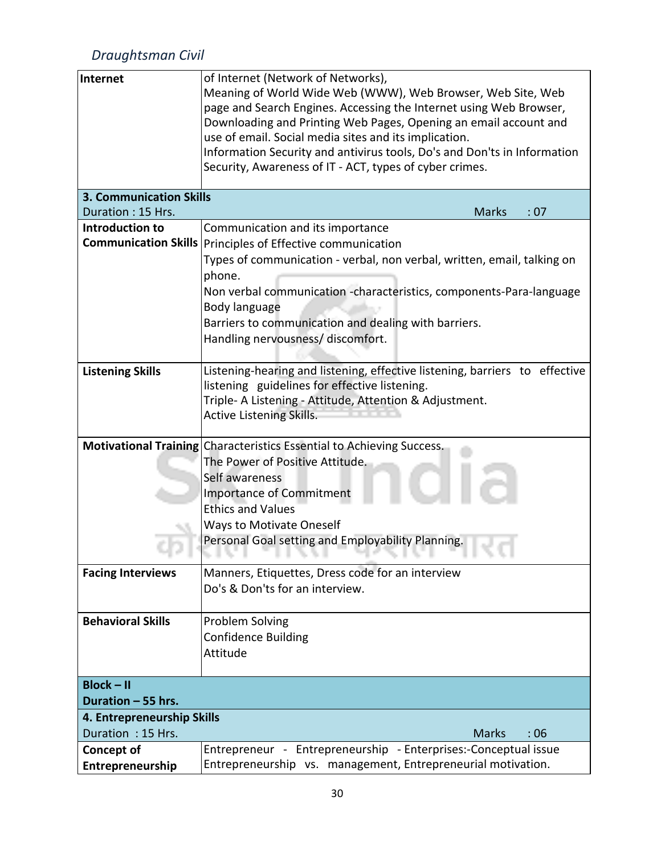| Internet                                        | of Internet (Network of Networks),                                                                                              |  |  |  |  |  |  |  |  |
|-------------------------------------------------|---------------------------------------------------------------------------------------------------------------------------------|--|--|--|--|--|--|--|--|
|                                                 | Meaning of World Wide Web (WWW), Web Browser, Web Site, Web                                                                     |  |  |  |  |  |  |  |  |
|                                                 | page and Search Engines. Accessing the Internet using Web Browser,                                                              |  |  |  |  |  |  |  |  |
|                                                 | Downloading and Printing Web Pages, Opening an email account and                                                                |  |  |  |  |  |  |  |  |
|                                                 | use of email. Social media sites and its implication.                                                                           |  |  |  |  |  |  |  |  |
|                                                 | Information Security and antivirus tools, Do's and Don'ts in Information                                                        |  |  |  |  |  |  |  |  |
|                                                 | Security, Awareness of IT - ACT, types of cyber crimes.                                                                         |  |  |  |  |  |  |  |  |
|                                                 |                                                                                                                                 |  |  |  |  |  |  |  |  |
| <b>3. Communication Skills</b>                  |                                                                                                                                 |  |  |  |  |  |  |  |  |
| Duration: 15 Hrs.                               | <b>Marks</b><br>:07                                                                                                             |  |  |  |  |  |  |  |  |
| <b>Introduction to</b>                          | Communication and its importance                                                                                                |  |  |  |  |  |  |  |  |
|                                                 | Communication Skills   Principles of Effective communication                                                                    |  |  |  |  |  |  |  |  |
|                                                 | Types of communication - verbal, non verbal, written, email, talking on                                                         |  |  |  |  |  |  |  |  |
|                                                 | phone.                                                                                                                          |  |  |  |  |  |  |  |  |
|                                                 | Non verbal communication -characteristics, components-Para-language                                                             |  |  |  |  |  |  |  |  |
|                                                 | Body language                                                                                                                   |  |  |  |  |  |  |  |  |
|                                                 | Barriers to communication and dealing with barriers.                                                                            |  |  |  |  |  |  |  |  |
|                                                 | Handling nervousness/ discomfort.                                                                                               |  |  |  |  |  |  |  |  |
|                                                 |                                                                                                                                 |  |  |  |  |  |  |  |  |
| <b>Listening Skills</b>                         | Listening-hearing and listening, effective listening, barriers to effective                                                     |  |  |  |  |  |  |  |  |
|                                                 | listening guidelines for effective listening.                                                                                   |  |  |  |  |  |  |  |  |
|                                                 | Triple- A Listening - Attitude, Attention & Adjustment.                                                                         |  |  |  |  |  |  |  |  |
|                                                 | <b>Active Listening Skills.</b>                                                                                                 |  |  |  |  |  |  |  |  |
|                                                 |                                                                                                                                 |  |  |  |  |  |  |  |  |
|                                                 | Motivational Training Characteristics Essential to Achieving Success.                                                           |  |  |  |  |  |  |  |  |
|                                                 | The Power of Positive Attitude.                                                                                                 |  |  |  |  |  |  |  |  |
|                                                 | Self awareness                                                                                                                  |  |  |  |  |  |  |  |  |
|                                                 | <b>Importance of Commitment</b>                                                                                                 |  |  |  |  |  |  |  |  |
|                                                 | <b>Ethics and Values</b>                                                                                                        |  |  |  |  |  |  |  |  |
|                                                 | <b>Ways to Motivate Oneself</b>                                                                                                 |  |  |  |  |  |  |  |  |
|                                                 | Personal Goal setting and Employability Planning.                                                                               |  |  |  |  |  |  |  |  |
|                                                 | .<br>.                                                                                                                          |  |  |  |  |  |  |  |  |
| <b>Facing Interviews</b>                        | Manners, Etiquettes, Dress code for an interview                                                                                |  |  |  |  |  |  |  |  |
|                                                 | Do's & Don'ts for an interview.                                                                                                 |  |  |  |  |  |  |  |  |
|                                                 |                                                                                                                                 |  |  |  |  |  |  |  |  |
| <b>Behavioral Skills</b>                        | Problem Solving                                                                                                                 |  |  |  |  |  |  |  |  |
|                                                 | <b>Confidence Building</b>                                                                                                      |  |  |  |  |  |  |  |  |
|                                                 | Attitude                                                                                                                        |  |  |  |  |  |  |  |  |
|                                                 |                                                                                                                                 |  |  |  |  |  |  |  |  |
| <b>Block-II</b>                                 |                                                                                                                                 |  |  |  |  |  |  |  |  |
| Duration - 55 hrs.                              |                                                                                                                                 |  |  |  |  |  |  |  |  |
|                                                 |                                                                                                                                 |  |  |  |  |  |  |  |  |
| 4. Entrepreneurship Skills<br>Duration: 15 Hrs. | <b>Marks</b><br>:06                                                                                                             |  |  |  |  |  |  |  |  |
|                                                 |                                                                                                                                 |  |  |  |  |  |  |  |  |
| <b>Concept of</b>                               | Entrepreneur - Entrepreneurship - Enterprises:-Conceptual issue<br>Entrepreneurship vs. management, Entrepreneurial motivation. |  |  |  |  |  |  |  |  |
| Entrepreneurship                                |                                                                                                                                 |  |  |  |  |  |  |  |  |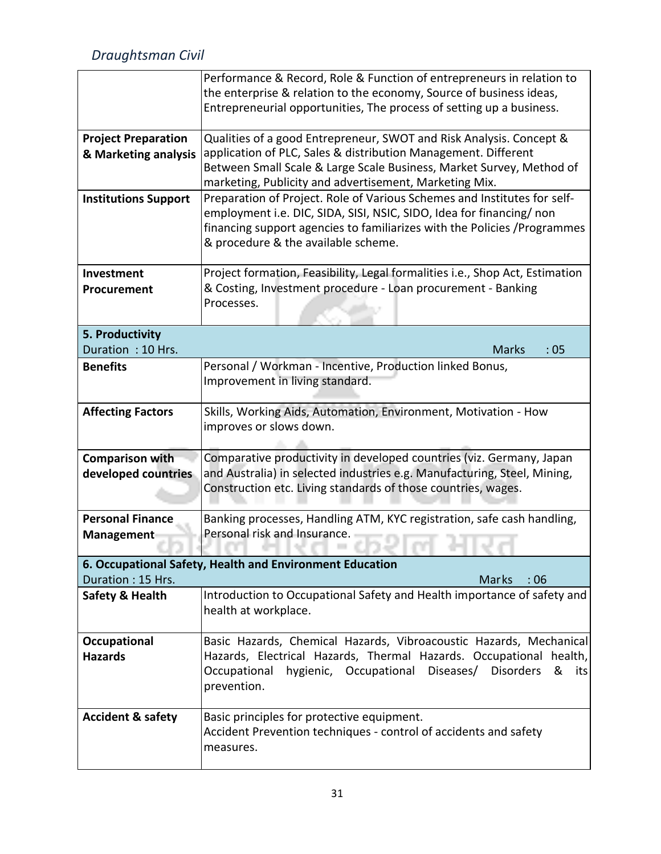|                              | Performance & Record, Role & Function of entrepreneurs in relation to                                                                            |  |  |  |  |  |  |  |  |
|------------------------------|--------------------------------------------------------------------------------------------------------------------------------------------------|--|--|--|--|--|--|--|--|
|                              | the enterprise & relation to the economy, Source of business ideas,                                                                              |  |  |  |  |  |  |  |  |
|                              | Entrepreneurial opportunities, The process of setting up a business.                                                                             |  |  |  |  |  |  |  |  |
| <b>Project Preparation</b>   | Qualities of a good Entrepreneur, SWOT and Risk Analysis. Concept &                                                                              |  |  |  |  |  |  |  |  |
| & Marketing analysis         | application of PLC, Sales & distribution Management. Different                                                                                   |  |  |  |  |  |  |  |  |
|                              | Between Small Scale & Large Scale Business, Market Survey, Method of                                                                             |  |  |  |  |  |  |  |  |
|                              | marketing, Publicity and advertisement, Marketing Mix.                                                                                           |  |  |  |  |  |  |  |  |
| <b>Institutions Support</b>  | Preparation of Project. Role of Various Schemes and Institutes for self-                                                                         |  |  |  |  |  |  |  |  |
|                              | employment i.e. DIC, SIDA, SISI, NSIC, SIDO, Idea for financing/ non                                                                             |  |  |  |  |  |  |  |  |
|                              | financing support agencies to familiarizes with the Policies / Programmes                                                                        |  |  |  |  |  |  |  |  |
|                              | & procedure & the available scheme.                                                                                                              |  |  |  |  |  |  |  |  |
| <b>Investment</b>            | Project formation, Feasibility, Legal formalities i.e., Shop Act, Estimation                                                                     |  |  |  |  |  |  |  |  |
| Procurement                  | & Costing, Investment procedure - Loan procurement - Banking                                                                                     |  |  |  |  |  |  |  |  |
|                              | Processes.                                                                                                                                       |  |  |  |  |  |  |  |  |
|                              |                                                                                                                                                  |  |  |  |  |  |  |  |  |
| 5. Productivity              |                                                                                                                                                  |  |  |  |  |  |  |  |  |
| Duration: 10 Hrs.            | <b>Marks</b><br>:05                                                                                                                              |  |  |  |  |  |  |  |  |
| <b>Benefits</b>              | Personal / Workman - Incentive, Production linked Bonus,                                                                                         |  |  |  |  |  |  |  |  |
|                              | Improvement in living standard.                                                                                                                  |  |  |  |  |  |  |  |  |
|                              |                                                                                                                                                  |  |  |  |  |  |  |  |  |
| <b>Affecting Factors</b>     | Skills, Working Aids, Automation, Environment, Motivation - How                                                                                  |  |  |  |  |  |  |  |  |
|                              | improves or slows down.                                                                                                                          |  |  |  |  |  |  |  |  |
|                              |                                                                                                                                                  |  |  |  |  |  |  |  |  |
| <b>Comparison with</b>       | Comparative productivity in developed countries (viz. Germany, Japan<br>and Australia) in selected industries e.g. Manufacturing, Steel, Mining, |  |  |  |  |  |  |  |  |
| developed countries          | Construction etc. Living standards of those countries, wages.                                                                                    |  |  |  |  |  |  |  |  |
|                              |                                                                                                                                                  |  |  |  |  |  |  |  |  |
| <b>Personal Finance</b>      | Banking processes, Handling ATM, KYC registration, safe cash handling,                                                                           |  |  |  |  |  |  |  |  |
| <b>Management</b>            | Personal risk and Insurance.                                                                                                                     |  |  |  |  |  |  |  |  |
|                              |                                                                                                                                                  |  |  |  |  |  |  |  |  |
|                              | 6. Occupational Safety, Health and Environment Education                                                                                         |  |  |  |  |  |  |  |  |
| Duration: 15 Hrs.            | Marks<br>:06                                                                                                                                     |  |  |  |  |  |  |  |  |
| <b>Safety &amp; Health</b>   | Introduction to Occupational Safety and Health importance of safety and                                                                          |  |  |  |  |  |  |  |  |
|                              | health at workplace.                                                                                                                             |  |  |  |  |  |  |  |  |
| Occupational                 | Basic Hazards, Chemical Hazards, Vibroacoustic Hazards, Mechanical                                                                               |  |  |  |  |  |  |  |  |
| <b>Hazards</b>               | Hazards, Electrical Hazards, Thermal Hazards. Occupational health,                                                                               |  |  |  |  |  |  |  |  |
|                              | hygienic, Occupational<br>Diseases/<br><b>Disorders</b><br>Occupational<br>&<br>its                                                              |  |  |  |  |  |  |  |  |
|                              | prevention.                                                                                                                                      |  |  |  |  |  |  |  |  |
|                              |                                                                                                                                                  |  |  |  |  |  |  |  |  |
| <b>Accident &amp; safety</b> | Basic principles for protective equipment.                                                                                                       |  |  |  |  |  |  |  |  |
|                              | Accident Prevention techniques - control of accidents and safety                                                                                 |  |  |  |  |  |  |  |  |
|                              | measures.                                                                                                                                        |  |  |  |  |  |  |  |  |
|                              |                                                                                                                                                  |  |  |  |  |  |  |  |  |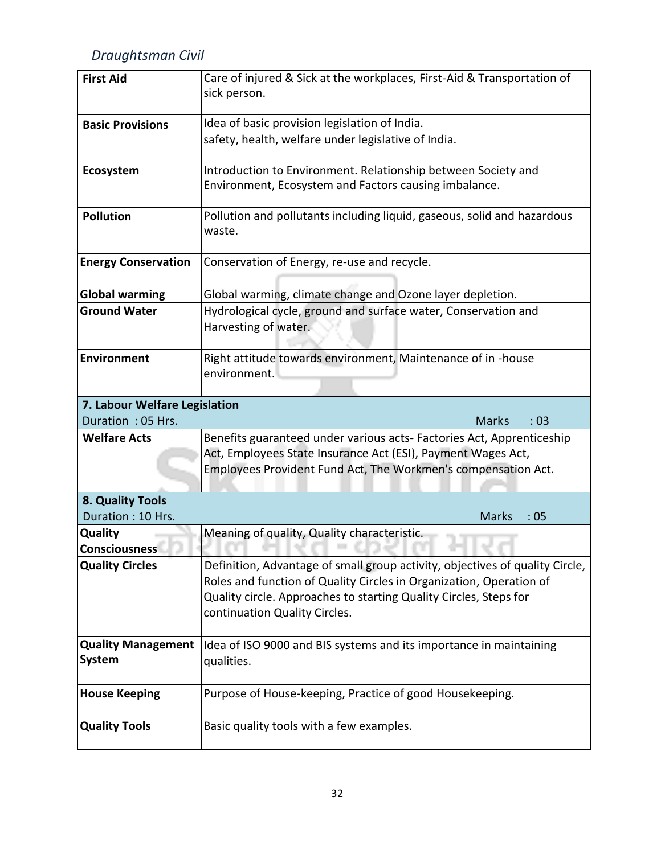| <b>First Aid</b>                           | Care of injured & Sick at the workplaces, First-Aid & Transportation of<br>sick person.                                                                                                                                                                   |
|--------------------------------------------|-----------------------------------------------------------------------------------------------------------------------------------------------------------------------------------------------------------------------------------------------------------|
| <b>Basic Provisions</b>                    | Idea of basic provision legislation of India.                                                                                                                                                                                                             |
|                                            | safety, health, welfare under legislative of India.                                                                                                                                                                                                       |
| Ecosystem                                  | Introduction to Environment. Relationship between Society and                                                                                                                                                                                             |
|                                            | Environment, Ecosystem and Factors causing imbalance.                                                                                                                                                                                                     |
| <b>Pollution</b>                           | Pollution and pollutants including liquid, gaseous, solid and hazardous<br>waste.                                                                                                                                                                         |
| <b>Energy Conservation</b>                 | Conservation of Energy, re-use and recycle.                                                                                                                                                                                                               |
| <b>Global warming</b>                      | Global warming, climate change and Ozone layer depletion.                                                                                                                                                                                                 |
| <b>Ground Water</b>                        | Hydrological cycle, ground and surface water, Conservation and<br>Harvesting of water.                                                                                                                                                                    |
| <b>Environment</b>                         | Right attitude towards environment, Maintenance of in -house<br>environment.                                                                                                                                                                              |
| 7. Labour Welfare Legislation              |                                                                                                                                                                                                                                                           |
| Duration: 05 Hrs.                          | <b>Marks</b><br>:03                                                                                                                                                                                                                                       |
| <b>Welfare Acts</b>                        | Benefits guaranteed under various acts- Factories Act, Apprenticeship                                                                                                                                                                                     |
|                                            | Act, Employees State Insurance Act (ESI), Payment Wages Act,<br>Employees Provident Fund Act, The Workmen's compensation Act.                                                                                                                             |
|                                            |                                                                                                                                                                                                                                                           |
| 8. Quality Tools                           |                                                                                                                                                                                                                                                           |
| Duration: 10 Hrs.                          | <b>Marks</b><br>:05                                                                                                                                                                                                                                       |
| Quality<br><b>Consciousness</b>            | Meaning of quality, Quality characteristic.                                                                                                                                                                                                               |
| <b>Quality Circles</b>                     | Definition, Advantage of small group activity, objectives of quality Circle,<br>Roles and function of Quality Circles in Organization, Operation of<br>Quality circle. Approaches to starting Quality Circles, Steps for<br>continuation Quality Circles. |
| <b>Quality Management</b><br><b>System</b> | Idea of ISO 9000 and BIS systems and its importance in maintaining<br>qualities.                                                                                                                                                                          |
| <b>House Keeping</b>                       | Purpose of House-keeping, Practice of good Housekeeping.                                                                                                                                                                                                  |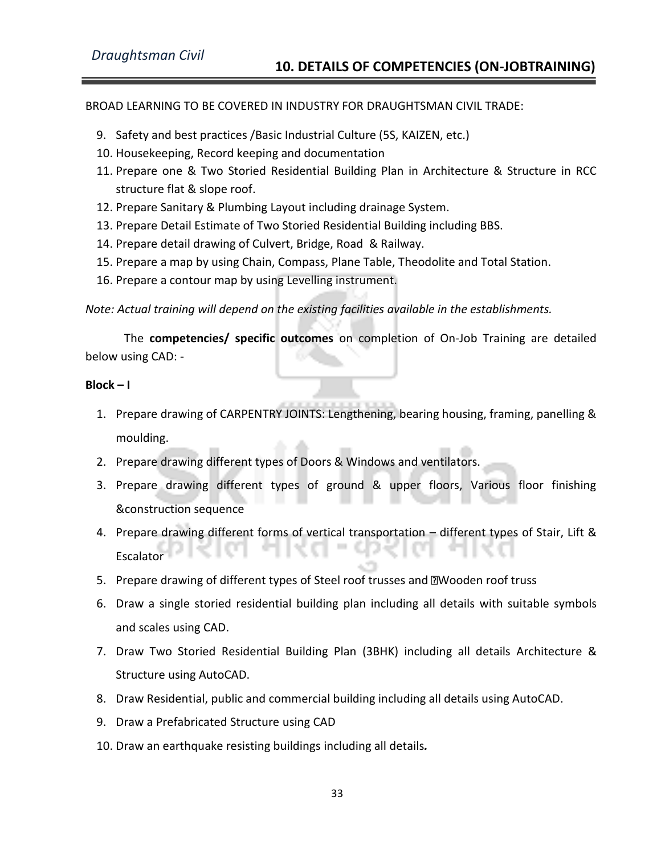#### BROAD LEARNING TO BE COVERED IN INDUSTRY FOR DRAUGHTSMAN CIVIL TRADE:

- 9. Safety and best practices /Basic Industrial Culture (5S, KAIZEN, etc.)
- 10. Housekeeping, Record keeping and documentation
- 11. Prepare one & Two Storied Residential Building Plan in Architecture & Structure in RCC structure flat & slope roof.
- 12. Prepare Sanitary & Plumbing Layout including drainage System.
- 13. Prepare Detail Estimate of Two Storied Residential Building including BBS.
- 14. Prepare detail drawing of Culvert, Bridge, Road & Railway.
- 15. Prepare a map by using Chain, Compass, Plane Table, Theodolite and Total Station.
- 16. Prepare a contour map by using Levelling instrument.

*Note: Actual training will depend on the existing facilities available in the establishments.*

The **competencies/ specific outcomes** on completion of On-Job Training are detailed below using CAD: -

#### **Block – I**

- 1. Prepare drawing of CARPENTRY JOINTS: Lengthening, bearing housing, framing, panelling & moulding.
- 2. Prepare drawing different types of Doors & Windows and ventilators.
- 3. Prepare drawing different types of ground & upper floors, Various floor finishing &construction sequence
- 4. Prepare drawing different forms of vertical transportation different types of Stair, Lift & Escalator
- 5. Prepare drawing of different types of Steel roof trusses and **Nooden** roof truss
- 6. Draw a single storied residential building plan including all details with suitable symbols and scales using CAD.
- 7. Draw Two Storied Residential Building Plan (3BHK) including all details Architecture & Structure using AutoCAD.
- 8. Draw Residential, public and commercial building including all details using AutoCAD.
- 9. Draw a Prefabricated Structure using CAD
- 10. Draw an earthquake resisting buildings including all details*.*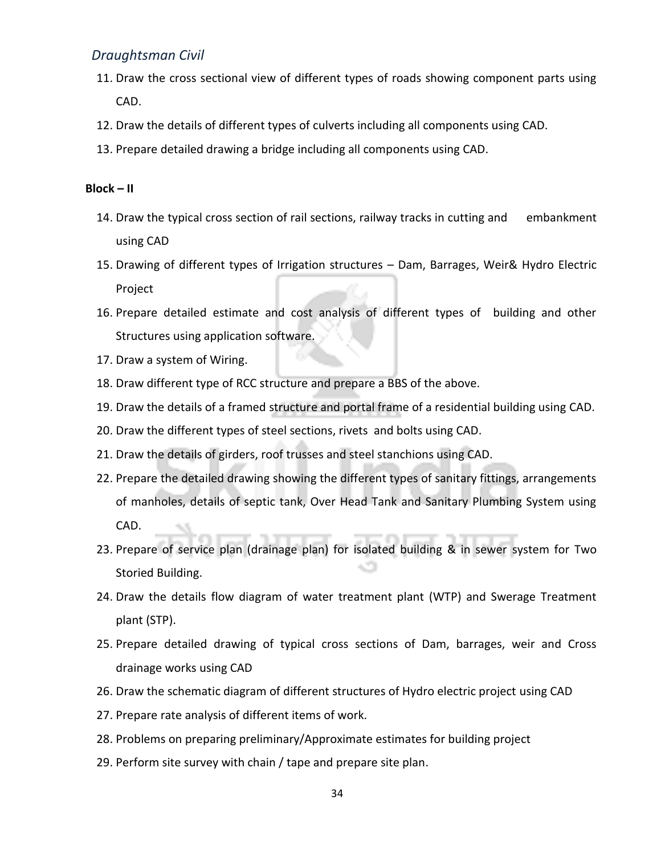- 11. Draw the cross sectional view of different types of roads showing component parts using CAD.
- 12. Draw the details of different types of culverts including all components using CAD.
- 13. Prepare detailed drawing a bridge including all components using CAD.

#### **Block – II**

- 14. Draw the typical cross section of rail sections, railway tracks in cutting and embankment using CAD
- 15. Drawing of different types of Irrigation structures Dam, Barrages, Weir& Hydro Electric Project
- 16. Prepare detailed estimate and cost analysis of different types of building and other Structures using application software.
- 17. Draw a system of Wiring.
- 18. Draw different type of RCC structure and prepare a BBS of the above.
- 19. Draw the details of a framed structure and portal frame of a residential building using CAD.
- 20. Draw the different types of steel sections, rivets and bolts using CAD.
- 21. Draw the details of girders, roof trusses and steel stanchions using CAD.
- 22. Prepare the detailed drawing showing the different types of sanitary fittings, arrangements of manholes, details of septic tank, Over Head Tank and Sanitary Plumbing System using CAD.
- 23. Prepare of service plan (drainage plan) for isolated building & in sewer system for Two Storied Building.
- 24. Draw the details flow diagram of water treatment plant (WTP) and Swerage Treatment plant (STP).
- 25. Prepare detailed drawing of typical cross sections of Dam, barrages, weir and Cross drainage works using CAD
- 26. Draw the schematic diagram of different structures of Hydro electric project using CAD
- 27. Prepare rate analysis of different items of work.
- 28. Problems on preparing preliminary/Approximate estimates for building project
- 29. Perform site survey with chain / tape and prepare site plan.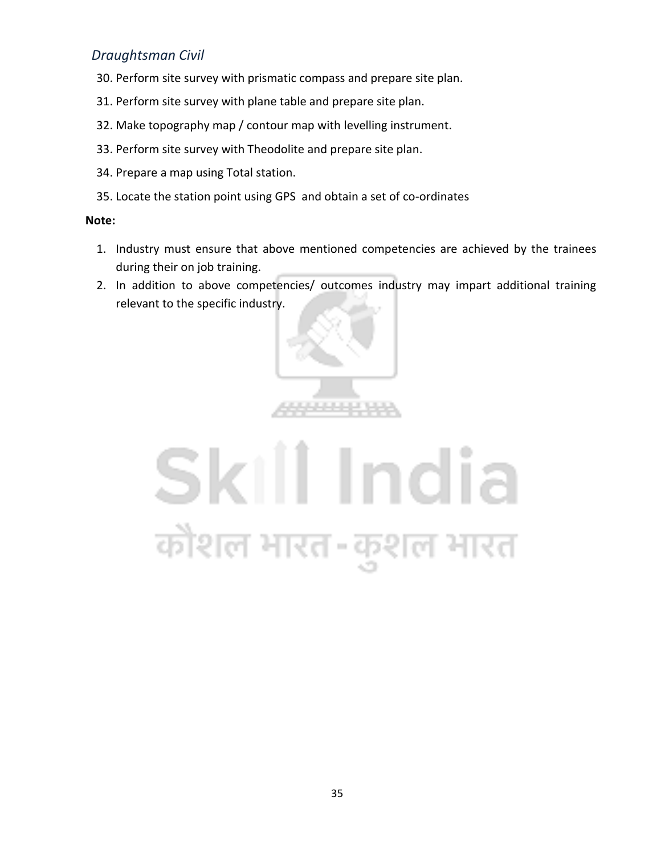- 30. Perform site survey with prismatic compass and prepare site plan.
- 31. Perform site survey with plane table and prepare site plan.
- 32. Make topography map / contour map with levelling instrument.
- 33. Perform site survey with Theodolite and prepare site plan.
- 34. Prepare a map using Total station.
- 35. Locate the station point using GPS and obtain a set of co-ordinates

#### **Note:**

- 1. Industry must ensure that above mentioned competencies are achieved by the trainees during their on job training.
- 2. In addition to above competencies/ outcomes industry may impart additional training relevant to the specific industry.



# Skill India कौशल भारत-कुशल भारत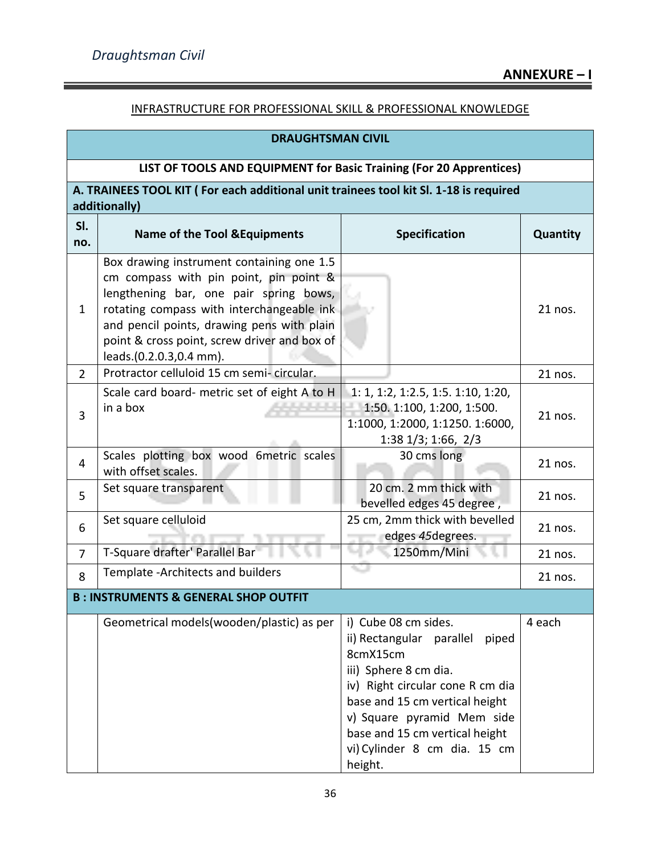### INFRASTRUCTURE FOR PROFESSIONAL SKILL & PROFESSIONAL KNOWLEDGE

| <b>DRAUGHTSMAN CIVIL</b>                                            |                                                                                                                                                                                                                                                                                                     |                                                                                                                                                                                                                                                                                 |          |  |  |  |  |  |  |  |
|---------------------------------------------------------------------|-----------------------------------------------------------------------------------------------------------------------------------------------------------------------------------------------------------------------------------------------------------------------------------------------------|---------------------------------------------------------------------------------------------------------------------------------------------------------------------------------------------------------------------------------------------------------------------------------|----------|--|--|--|--|--|--|--|
| LIST OF TOOLS AND EQUIPMENT for Basic Training (For 20 Apprentices) |                                                                                                                                                                                                                                                                                                     |                                                                                                                                                                                                                                                                                 |          |  |  |  |  |  |  |  |
|                                                                     | A. TRAINEES TOOL KIT (For each additional unit trainees tool kit SI. 1-18 is required<br>additionally)                                                                                                                                                                                              |                                                                                                                                                                                                                                                                                 |          |  |  |  |  |  |  |  |
| SI.<br>no.                                                          | <b>Name of the Tool &amp; Equipments</b>                                                                                                                                                                                                                                                            | <b>Specification</b>                                                                                                                                                                                                                                                            | Quantity |  |  |  |  |  |  |  |
| 1                                                                   | Box drawing instrument containing one 1.5<br>cm compass with pin point, pin point &<br>lengthening bar, one pair spring bows,<br>rotating compass with interchangeable ink<br>and pencil points, drawing pens with plain<br>point & cross point, screw driver and box of<br>leads.(0.2.0.3,0.4 mm). |                                                                                                                                                                                                                                                                                 | 21 nos.  |  |  |  |  |  |  |  |
| $\overline{2}$                                                      | Protractor celluloid 15 cm semi-circular.                                                                                                                                                                                                                                                           |                                                                                                                                                                                                                                                                                 | 21 nos.  |  |  |  |  |  |  |  |
| 3                                                                   | Scale card board- metric set of eight A to H<br>in a box                                                                                                                                                                                                                                            | $1: 1, 1: 2, 1: 2.5, 1: 5. 1: 10, 1: 20,$<br>1:50. 1:100, 1:200, 1:500.<br>1:1000, 1:2000, 1:1250. 1:6000,<br>1:38 1/3; 1:66, 2/3                                                                                                                                               | 21 nos.  |  |  |  |  |  |  |  |
| 4                                                                   | Scales plotting box wood 6metric scales<br>with offset scales.                                                                                                                                                                                                                                      | 30 cms long                                                                                                                                                                                                                                                                     | 21 nos.  |  |  |  |  |  |  |  |
| 5                                                                   | Set square transparent                                                                                                                                                                                                                                                                              | 20 cm. 2 mm thick with<br>bevelled edges 45 degree,                                                                                                                                                                                                                             | 21 nos.  |  |  |  |  |  |  |  |
| 6                                                                   | Set square celluloid                                                                                                                                                                                                                                                                                | 25 cm, 2mm thick with bevelled<br>edges 45 degrees.                                                                                                                                                                                                                             | 21 nos.  |  |  |  |  |  |  |  |
| 7                                                                   | T-Square drafter' Parallel Bar                                                                                                                                                                                                                                                                      | 1250mm/Mini                                                                                                                                                                                                                                                                     | 21 nos.  |  |  |  |  |  |  |  |
| 8                                                                   | Template - Architects and builders                                                                                                                                                                                                                                                                  |                                                                                                                                                                                                                                                                                 | 21 nos.  |  |  |  |  |  |  |  |
|                                                                     | <b>B: INSTRUMENTS &amp; GENERAL SHOP OUTFIT</b>                                                                                                                                                                                                                                                     |                                                                                                                                                                                                                                                                                 |          |  |  |  |  |  |  |  |
|                                                                     | Geometrical models (wooden/plastic) as per                                                                                                                                                                                                                                                          | i) Cube 08 cm sides.<br>ii) Rectangular parallel<br>piped<br>8cmX15cm<br>iii) Sphere 8 cm dia.<br>iv) Right circular cone R cm dia<br>base and 15 cm vertical height<br>v) Square pyramid Mem side<br>base and 15 cm vertical height<br>vi) Cylinder 8 cm dia. 15 cm<br>height. | 4 each   |  |  |  |  |  |  |  |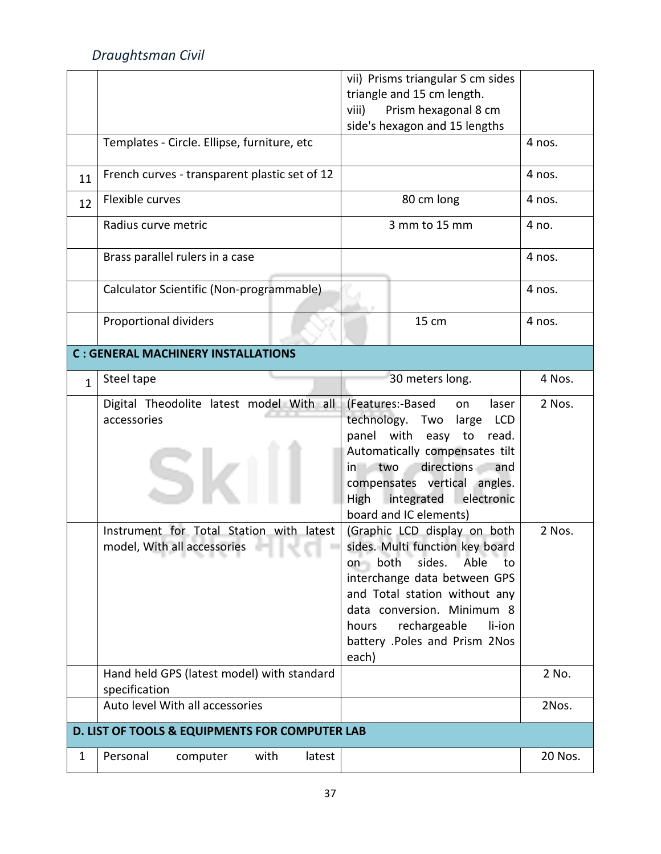|              |                                                                         | vii) Prisms triangular S cm sides<br>triangle and 15 cm length.                                                                                                                                                                                                                |         |
|--------------|-------------------------------------------------------------------------|--------------------------------------------------------------------------------------------------------------------------------------------------------------------------------------------------------------------------------------------------------------------------------|---------|
|              |                                                                         | Prism hexagonal 8 cm<br>viii)                                                                                                                                                                                                                                                  |         |
|              |                                                                         | side's hexagon and 15 lengths                                                                                                                                                                                                                                                  |         |
|              | Templates - Circle. Ellipse, furniture, etc                             |                                                                                                                                                                                                                                                                                | 4 nos.  |
| 11           | French curves - transparent plastic set of 12                           |                                                                                                                                                                                                                                                                                | 4 nos.  |
| 12           | Flexible curves                                                         | 80 cm long                                                                                                                                                                                                                                                                     | 4 nos.  |
|              | Radius curve metric                                                     | 3 mm to 15 mm                                                                                                                                                                                                                                                                  | 4 no.   |
|              | Brass parallel rulers in a case                                         |                                                                                                                                                                                                                                                                                | 4 nos.  |
|              | Calculator Scientific (Non-programmable)                                |                                                                                                                                                                                                                                                                                | 4 nos.  |
|              | <b>Proportional dividers</b>                                            | 15 cm                                                                                                                                                                                                                                                                          | 4 nos.  |
|              | <b>C: GENERAL MACHINERY INSTALLATIONS</b>                               |                                                                                                                                                                                                                                                                                |         |
| $\mathbf{1}$ | Steel tape                                                              | 30 meters long.                                                                                                                                                                                                                                                                | 4 Nos.  |
|              | Digital Theodolite latest model With all<br>accessories                 | (Features:-Based<br>laser<br>on<br>technology. Two<br>large<br><b>LCD</b><br>panel with easy to<br>read.<br>Automatically compensates tilt<br>directions<br>in two<br>and<br>compensates vertical angles.<br>High<br>integrated<br>electronic<br>board and IC elements)        | 2 Nos.  |
|              | Instrument for Total Station with latest<br>model, With all accessories | (Graphic LCD display on both<br>sides. Multi function key board<br>Able<br>on both<br>sides.<br>to<br>interchange data between GPS<br>and Total station without any<br>data conversion. Minimum 8<br>rechargeable<br>li-ion<br>hours<br>battery .Poles and Prism 2Nos<br>each) | 2 Nos.  |
|              | Hand held GPS (latest model) with standard<br>specification             |                                                                                                                                                                                                                                                                                | 2 No.   |
|              | Auto level With all accessories                                         |                                                                                                                                                                                                                                                                                | 2Nos.   |
|              | D. LIST OF TOOLS & EQUIPMENTS FOR COMPUTER LAB                          |                                                                                                                                                                                                                                                                                |         |
| $\mathbf{1}$ | Personal<br>computer<br>with<br>latest                                  |                                                                                                                                                                                                                                                                                | 20 Nos. |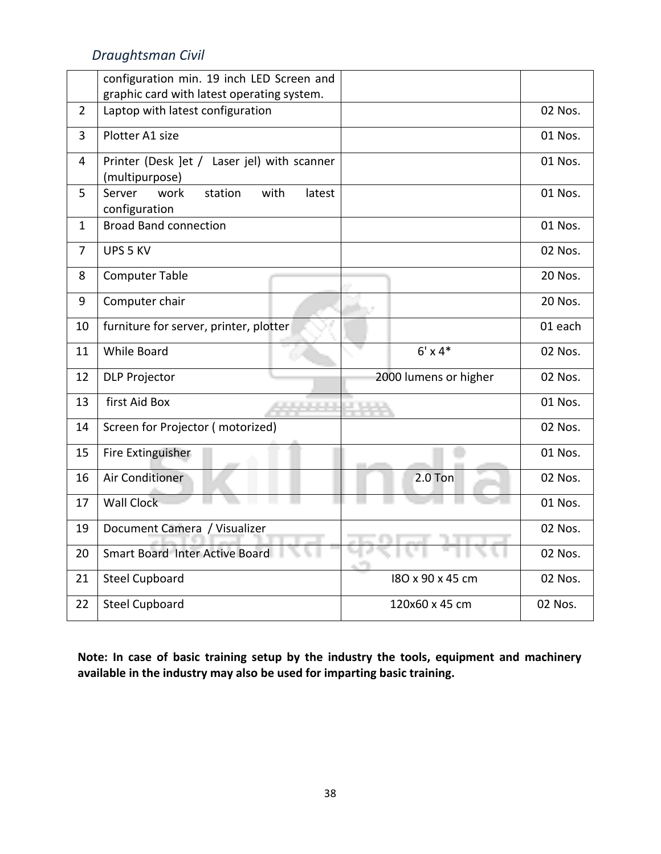|                | configuration min. 19 inch LED Screen and                     |                       |         |
|----------------|---------------------------------------------------------------|-----------------------|---------|
|                | graphic card with latest operating system.                    |                       |         |
| $\overline{2}$ | Laptop with latest configuration                              |                       | 02 Nos. |
| $\overline{3}$ | Plotter A1 size                                               |                       | 01 Nos. |
| $\overline{4}$ | Printer (Desk ]et / Laser jel) with scanner<br>(multipurpose) |                       | 01 Nos. |
| 5              | with<br>Server<br>work<br>station<br>latest<br>configuration  |                       | 01 Nos. |
| $\mathbf{1}$   | <b>Broad Band connection</b>                                  |                       | 01 Nos. |
| $\overline{7}$ | UPS 5 KV                                                      |                       | 02 Nos. |
| 8              | <b>Computer Table</b>                                         |                       | 20 Nos. |
| 9              | Computer chair                                                |                       | 20 Nos. |
| 10             | furniture for server, printer, plotter                        |                       | 01 each |
| 11             | <b>While Board</b>                                            | $6' \times 4*$        | 02 Nos. |
| 12             | <b>DLP Projector</b>                                          | 2000 lumens or higher | 02 Nos. |
| 13             | first Aid Box                                                 |                       | 01 Nos. |
| 14             | Screen for Projector (motorized)                              |                       | 02 Nos. |
| 15             | Fire Extinguisher                                             |                       | 01 Nos. |
| 16             | Air Conditioner                                               | $2.0$ Ton             | 02 Nos. |
| 17             | <b>Wall Clock</b>                                             |                       | 01 Nos. |
| 19             | Document Camera / Visualizer                                  |                       | 02 Nos. |
| 20             | Smart Board Inter Active Board                                |                       | 02 Nos. |
| 21             | <b>Steel Cupboard</b>                                         | 180 x 90 x 45 cm      | 02 Nos. |
| 22             | <b>Steel Cupboard</b>                                         | 120x60 x 45 cm        | 02 Nos. |

**Note: In case of basic training setup by the industry the tools, equipment and machinery available in the industry may also be used for imparting basic training.**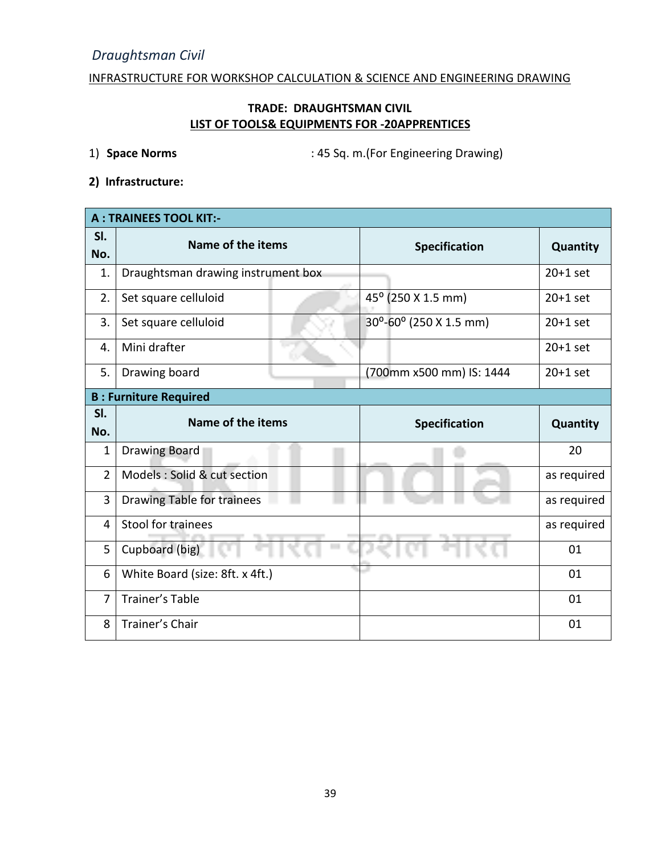INFRASTRUCTURE FOR WORKSHOP CALCULATION & SCIENCE AND ENGINEERING DRAWING

# **TRADE: DRAUGHTSMAN CIVIL LIST OF TOOLS& EQUIPMENTS FOR -20APPRENTICES**

1) **Space Norms** : 45 Sq. m.(For Engineering Drawing)

**2) Infrastructure:** 

|                | <b>A: TRAINEES TOOL KIT:-</b>      |  |                                            |             |  |  |  |  |  |
|----------------|------------------------------------|--|--------------------------------------------|-------------|--|--|--|--|--|
| SI.<br>No.     | Name of the items                  |  | Specification                              | Quantity    |  |  |  |  |  |
| 1.             | Draughtsman drawing instrument box |  |                                            | $20+1$ set  |  |  |  |  |  |
| 2.             | Set square celluloid               |  | 45° (250 X 1.5 mm)                         | $20+1$ set  |  |  |  |  |  |
| 3.             | Set square celluloid               |  | $30^{\circ}$ -60 $^{\circ}$ (250 X 1.5 mm) | $20+1$ set  |  |  |  |  |  |
| 4.             | Mini drafter                       |  |                                            | $20+1$ set  |  |  |  |  |  |
| 5.             | Drawing board                      |  | (700mm x500 mm) IS: 1444                   | $20+1$ set  |  |  |  |  |  |
|                | <b>B: Furniture Required</b>       |  |                                            |             |  |  |  |  |  |
| SI.<br>No.     | Name of the items                  |  | <b>Specification</b>                       | Quantity    |  |  |  |  |  |
| 1              | <b>Drawing Board</b>               |  |                                            | 20          |  |  |  |  |  |
|                |                                    |  |                                            |             |  |  |  |  |  |
| $\overline{2}$ | Models : Solid & cut section       |  |                                            | as required |  |  |  |  |  |
| $\overline{3}$ | Drawing Table for trainees         |  |                                            | as required |  |  |  |  |  |
| 4              | Stool for trainees                 |  |                                            | as required |  |  |  |  |  |
| 5              | Cupboard (big)                     |  |                                            | 01          |  |  |  |  |  |
| 6              | White Board (size: 8ft. x 4ft.)    |  |                                            | 01          |  |  |  |  |  |
| 7              | Trainer's Table                    |  |                                            | 01          |  |  |  |  |  |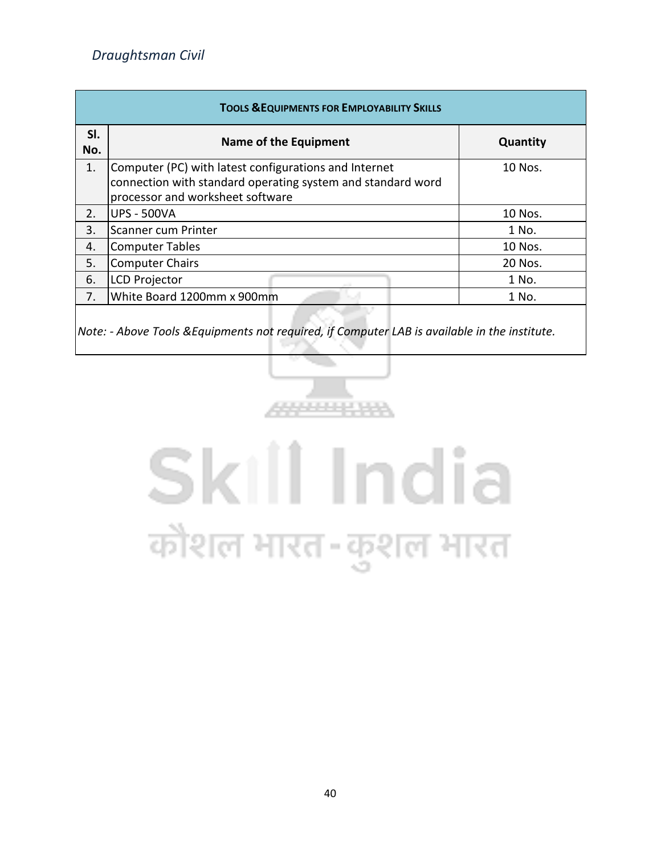| <b>TOOLS &amp; EQUIPMENTS FOR EMPLOYABILITY SKILLS</b> |                                                                                                 |          |  |  |  |  |  |  |
|--------------------------------------------------------|-------------------------------------------------------------------------------------------------|----------|--|--|--|--|--|--|
| SI.<br>No.                                             | Name of the Equipment                                                                           | Quantity |  |  |  |  |  |  |
| 1.                                                     | Computer (PC) with latest configurations and Internet                                           | 10 Nos.  |  |  |  |  |  |  |
|                                                        | connection with standard operating system and standard word<br>processor and worksheet software |          |  |  |  |  |  |  |
| 2.                                                     | <b>UPS - 500VA</b>                                                                              | 10 Nos.  |  |  |  |  |  |  |
| 3.                                                     | Scanner cum Printer                                                                             | 1 No.    |  |  |  |  |  |  |
| 4.                                                     | Computer Tables                                                                                 | 10 Nos.  |  |  |  |  |  |  |
| 5.                                                     | Computer Chairs                                                                                 | 20 Nos.  |  |  |  |  |  |  |
| 6.                                                     | LCD Projector                                                                                   | 1 No.    |  |  |  |  |  |  |
| 7.                                                     | White Board 1200mm x 900mm                                                                      | 1 No.    |  |  |  |  |  |  |
|                                                        |                                                                                                 |          |  |  |  |  |  |  |

*Note: - Above Tools &Equipments not required, if Computer LAB is available in the institute.*



# Skill India कौशल भारत-कुशल भारत